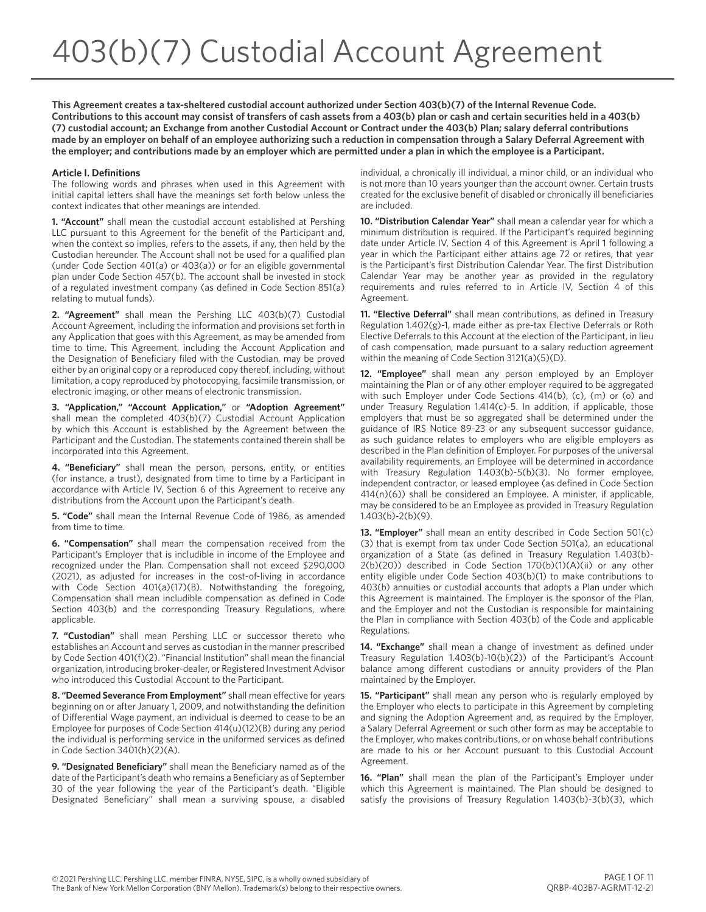**This Agreement creates a tax-sheltered custodial account authorized under Section 403(b)(7) of the Internal Revenue Code. Contributions to this account may consist of transfers of cash assets from a 403(b) plan or cash and certain securities held in a 403(b) (7) custodial account; an Exchange from another Custodial Account or Contract under the 403(b) Plan; salary deferral contributions made by an employer on behalf of an employee authorizing such a reduction in compensation through a Salary Deferral Agreement with the employer; and contributions made by an employer which are permitted under a plan in which the employee is a Participant.**

#### **Article I. Definitions**

The following words and phrases when used in this Agreement with initial capital letters shall have the meanings set forth below unless the context indicates that other meanings are intended.

**1. "Account"** shall mean the custodial account established at Pershing LLC pursuant to this Agreement for the benefit of the Participant and, when the context so implies, refers to the assets, if any, then held by the Custodian hereunder. The Account shall not be used for a qualified plan (under Code Section 401(a) or 403(a)) or for an eligible governmental plan under Code Section 457(b). The account shall be invested in stock of a regulated investment company (as defined in Code Section 851(a) relating to mutual funds).

**2. "Agreement"** shall mean the Pershing LLC 403(b)(7) Custodial Account Agreement, including the information and provisions set forth in any Application that goes with this Agreement, as may be amended from time to time. This Agreement, including the Account Application and the Designation of Beneficiary filed with the Custodian, may be proved either by an original copy or a reproduced copy thereof, including, without limitation, a copy reproduced by photocopying, facsimile transmission, or electronic imaging, or other means of electronic transmission.

**3. "Application," "Account Application,"** or **"Adoption Agreement"** shall mean the completed 403(b)(7) Custodial Account Application by which this Account is established by the Agreement between the Participant and the Custodian. The statements contained therein shall be incorporated into this Agreement.

**4. "Beneficiary"** shall mean the person, persons, entity, or entities (for instance, a trust), designated from time to time by a Participant in accordance with Article IV, Section 6 of this Agreement to receive any distributions from the Account upon the Participant's death.

**5. "Code"** shall mean the Internal Revenue Code of 1986, as amended from time to time.

**6. "Compensation"** shall mean the compensation received from the Participant's Employer that is includible in income of the Employee and recognized under the Plan. Compensation shall not exceed \$290,000 (2021), as adjusted for increases in the cost-of-living in accordance with Code Section 401(a)(17)(B). Notwithstanding the foregoing, Compensation shall mean includible compensation as defined in Code Section 403(b) and the corresponding Treasury Regulations, where applicable.

**7. "Custodian"** shall mean Pershing LLC or successor thereto who establishes an Account and serves as custodian in the manner prescribed by Code Section 401(f)(2). "Financial Institution" shall mean the financial organization, introducing broker-dealer, or Registered Investment Advisor who introduced this Custodial Account to the Participant.

**8. "Deemed Severance From Employment"** shall mean effective for years beginning on or after January 1, 2009, and notwithstanding the definition of Differential Wage payment, an individual is deemed to cease to be an Employee for purposes of Code Section 414(u)(12)(B) during any period the individual is performing service in the uniformed services as defined in Code Section 3401(h)(2)(A).

**9. "Designated Beneficiary"** shall mean the Beneficiary named as of the date of the Participant's death who remains a Beneficiary as of September 30 of the year following the year of the Participant's death. "Eligible Designated Beneficiary" shall mean a surviving spouse, a disabled individual, a chronically ill individual, a minor child, or an individual who is not more than 10 years younger than the account owner. Certain trusts created for the exclusive benefit of disabled or chronically ill beneficiaries are included.

**10. "Distribution Calendar Year"** shall mean a calendar year for which a minimum distribution is required. If the Participant's required beginning date under Article IV, Section 4 of this Agreement is April 1 following a year in which the Participant either attains age 72 or retires, that year is the Participant's first Distribution Calendar Year. The first Distribution Calendar Year may be another year as provided in the regulatory requirements and rules referred to in Article IV, Section 4 of this Agreement.

**11. "Elective Deferral"** shall mean contributions, as defined in Treasury Regulation 1.402(g)-1, made either as pre-tax Elective Deferrals or Roth Elective Deferrals to this Account at the election of the Participant, in lieu of cash compensation, made pursuant to a salary reduction agreement within the meaning of Code Section 3121(a)(5)(D).

**12. "Employee"** shall mean any person employed by an Employer maintaining the Plan or of any other employer required to be aggregated with such Employer under Code Sections 414(b), (c), (m) or (o) and under Treasury Regulation 1.414(c)-5. In addition, if applicable, those employers that must be so aggregated shall be determined under the guidance of IRS Notice 89-23 or any subsequent successor guidance, as such guidance relates to employers who are eligible employers as described in the Plan definition of Employer. For purposes of the universal availability requirements, an Employee will be determined in accordance with Treasury Regulation 1.403(b)-5(b)(3). No former employee, independent contractor, or leased employee (as defined in Code Section 414(n)(6)) shall be considered an Employee. A minister, if applicable, may be considered to be an Employee as provided in Treasury Regulation 1.403(b)-2(b)(9).

**13. "Employer"** shall mean an entity described in Code Section 501(c) (3) that is exempt from tax under Code Section 501(a), an educational organization of a State (as defined in Treasury Regulation 1.403(b)- 2(b)(20)) described in Code Section 170(b)(1)(A)(ii) or any other entity eligible under Code Section 403(b)(1) to make contributions to 403(b) annuities or custodial accounts that adopts a Plan under which this Agreement is maintained. The Employer is the sponsor of the Plan, and the Employer and not the Custodian is responsible for maintaining the Plan in compliance with Section 403(b) of the Code and applicable Regulations.

**14. "Exchange"** shall mean a change of investment as defined under Treasury Regulation 1.403(b)-10(b)(2)) of the Participant's Account balance among different custodians or annuity providers of the Plan maintained by the Employer.

**15. "Participant"** shall mean any person who is regularly employed by the Employer who elects to participate in this Agreement by completing and signing the Adoption Agreement and, as required by the Employer, a Salary Deferral Agreement or such other form as may be acceptable to the Employer, who makes contributions, or on whose behalf contributions are made to his or her Account pursuant to this Custodial Account Agreement.

**16. "Plan"** shall mean the plan of the Participant's Employer under which this Agreement is maintained. The Plan should be designed to satisfy the provisions of Treasury Regulation 1.403(b)-3(b)(3), which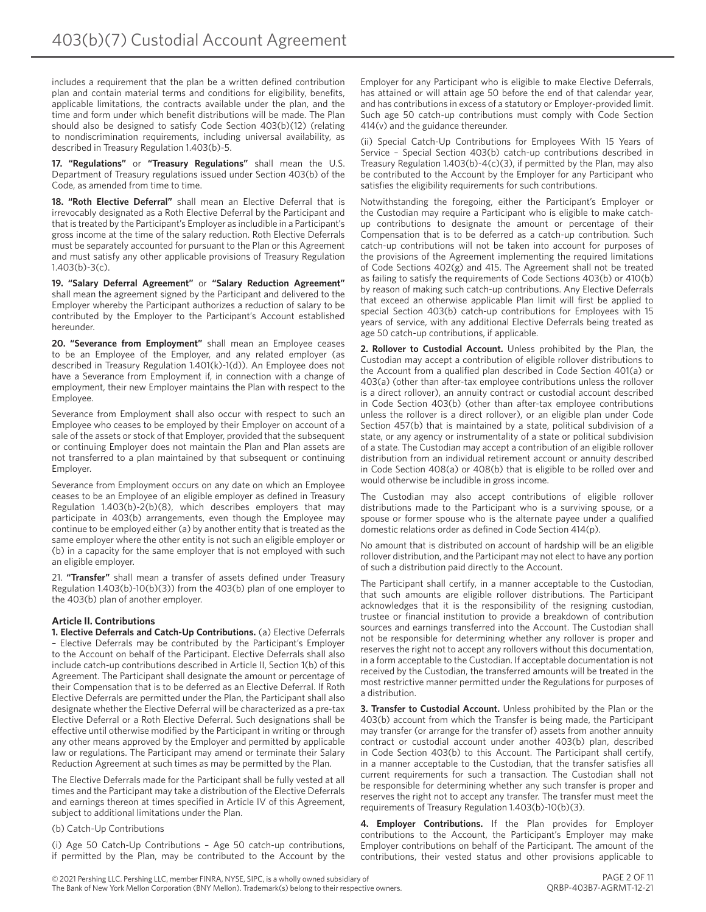includes a requirement that the plan be a written defined contribution plan and contain material terms and conditions for eligibility, benefits, applicable limitations, the contracts available under the plan, and the time and form under which benefit distributions will be made. The Plan should also be designed to satisfy Code Section 403(b)(12) (relating to nondiscrimination requirements, including universal availability, as described in Treasury Regulation 1.403(b)-5.

**17. "Regulations"** or **"Treasury Regulations"** shall mean the U.S. Department of Treasury regulations issued under Section 403(b) of the Code, as amended from time to time.

**18. "Roth Elective Deferral"** shall mean an Elective Deferral that is irrevocably designated as a Roth Elective Deferral by the Participant and that is treated by the Participant's Employer as includible in a Participant's gross income at the time of the salary reduction. Roth Elective Deferrals must be separately accounted for pursuant to the Plan or this Agreement and must satisfy any other applicable provisions of Treasury Regulation 1.403(b)-3(c).

**19. "Salary Deferral Agreement"** or **"Salary Reduction Agreement"** shall mean the agreement signed by the Participant and delivered to the Employer whereby the Participant authorizes a reduction of salary to be contributed by the Employer to the Participant's Account established hereunder.

**20. "Severance from Employment"** shall mean an Employee ceases to be an Employee of the Employer, and any related employer (as described in Treasury Regulation 1.401(k)-1(d)). An Employee does not have a Severance from Employment if, in connection with a change of employment, their new Employer maintains the Plan with respect to the Employee.

Severance from Employment shall also occur with respect to such an Employee who ceases to be employed by their Employer on account of a sale of the assets or stock of that Employer, provided that the subsequent or continuing Employer does not maintain the Plan and Plan assets are not transferred to a plan maintained by that subsequent or continuing Employer.

Severance from Employment occurs on any date on which an Employee ceases to be an Employee of an eligible employer as defined in Treasury Regulation 1.403(b)-2(b)(8), which describes employers that may participate in 403(b) arrangements, even though the Employee may continue to be employed either (a) by another entity that is treated as the same employer where the other entity is not such an eligible employer or (b) in a capacity for the same employer that is not employed with such an eligible employer.

21. **"Transfer"** shall mean a transfer of assets defined under Treasury Regulation 1.403(b)-10(b)(3)) from the 403(b) plan of one employer to the 403(b) plan of another employer.

# **Article II. Contributions**

**1. Elective Deferrals and Catch-Up Contributions.** (a) Elective Deferrals – Elective Deferrals may be contributed by the Participant's Employer to the Account on behalf of the Participant. Elective Deferrals shall also include catch-up contributions described in Article II, Section 1(b) of this Agreement. The Participant shall designate the amount or percentage of their Compensation that is to be deferred as an Elective Deferral. If Roth Elective Deferrals are permitted under the Plan, the Participant shall also designate whether the Elective Deferral will be characterized as a pre-tax Elective Deferral or a Roth Elective Deferral. Such designations shall be effective until otherwise modified by the Participant in writing or through any other means approved by the Employer and permitted by applicable law or regulations. The Participant may amend or terminate their Salary Reduction Agreement at such times as may be permitted by the Plan.

The Elective Deferrals made for the Participant shall be fully vested at all times and the Participant may take a distribution of the Elective Deferrals and earnings thereon at times specified in Article IV of this Agreement, subject to additional limitations under the Plan.

(b) Catch-Up Contributions

(i) Age 50 Catch-Up Contributions – Age 50 catch-up contributions, if permitted by the Plan, may be contributed to the Account by the Employer for any Participant who is eligible to make Elective Deferrals, has attained or will attain age 50 before the end of that calendar year, and has contributions in excess of a statutory or Employer-provided limit. Such age 50 catch-up contributions must comply with Code Section 414(v) and the guidance thereunder.

(ii) Special Catch-Up Contributions for Employees With 15 Years of Service – Special Section 403(b) catch-up contributions described in Treasury Regulation 1.403(b)-4(c)(3), if permitted by the Plan, may also be contributed to the Account by the Employer for any Participant who satisfies the eligibility requirements for such contributions.

Notwithstanding the foregoing, either the Participant's Employer or the Custodian may require a Participant who is eligible to make catchup contributions to designate the amount or percentage of their Compensation that is to be deferred as a catch-up contribution. Such catch-up contributions will not be taken into account for purposes of the provisions of the Agreement implementing the required limitations of Code Sections 402(g) and 415. The Agreement shall not be treated as failing to satisfy the requirements of Code Sections 403(b) or 410(b) by reason of making such catch-up contributions. Any Elective Deferrals that exceed an otherwise applicable Plan limit will first be applied to special Section 403(b) catch-up contributions for Employees with 15 years of service, with any additional Elective Deferrals being treated as age 50 catch-up contributions, if applicable.

**2. Rollover to Custodial Account.** Unless prohibited by the Plan, the Custodian may accept a contribution of eligible rollover distributions to the Account from a qualified plan described in Code Section 401(a) or 403(a) (other than after-tax employee contributions unless the rollover is a direct rollover), an annuity contract or custodial account described in Code Section 403(b) (other than after-tax employee contributions unless the rollover is a direct rollover), or an eligible plan under Code Section 457(b) that is maintained by a state, political subdivision of a state, or any agency or instrumentality of a state or political subdivision of a state. The Custodian may accept a contribution of an eligible rollover distribution from an individual retirement account or annuity described in Code Section 408(a) or 408(b) that is eligible to be rolled over and would otherwise be includible in gross income.

The Custodian may also accept contributions of eligible rollover distributions made to the Participant who is a surviving spouse, or a spouse or former spouse who is the alternate payee under a qualified domestic relations order as defined in Code Section 414(p).

No amount that is distributed on account of hardship will be an eligible rollover distribution, and the Participant may not elect to have any portion of such a distribution paid directly to the Account.

The Participant shall certify, in a manner acceptable to the Custodian, that such amounts are eligible rollover distributions. The Participant acknowledges that it is the responsibility of the resigning custodian, trustee or financial institution to provide a breakdown of contribution sources and earnings transferred into the Account. The Custodian shall not be responsible for determining whether any rollover is proper and reserves the right not to accept any rollovers without this documentation, in a form acceptable to the Custodian. If acceptable documentation is not received by the Custodian, the transferred amounts will be treated in the most restrictive manner permitted under the Regulations for purposes of a distribution.

**3. Transfer to Custodial Account.** Unless prohibited by the Plan or the 403(b) account from which the Transfer is being made, the Participant may transfer (or arrange for the transfer of) assets from another annuity contract or custodial account under another 403(b) plan, described in Code Section 403(b) to this Account. The Participant shall certify, in a manner acceptable to the Custodian, that the transfer satisfies all current requirements for such a transaction. The Custodian shall not be responsible for determining whether any such transfer is proper and reserves the right not to accept any transfer. The transfer must meet the requirements of Treasury Regulation 1.403(b)-10(b)(3).

**4. Employer Contributions.** If the Plan provides for Employer contributions to the Account, the Participant's Employer may make Employer contributions on behalf of the Participant. The amount of the contributions, their vested status and other provisions applicable to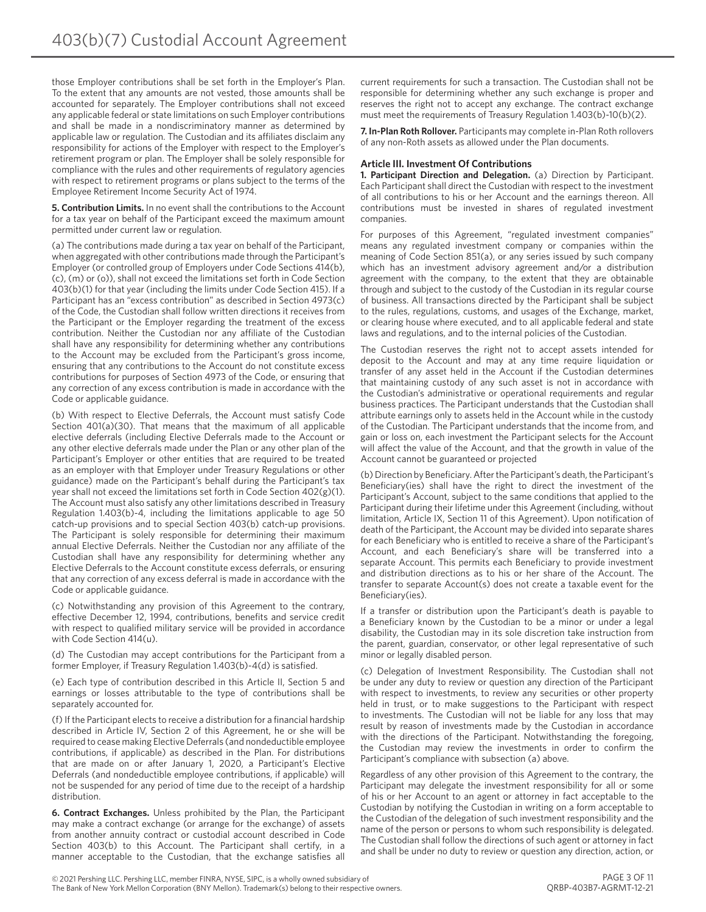those Employer contributions shall be set forth in the Employer's Plan. To the extent that any amounts are not vested, those amounts shall be accounted for separately. The Employer contributions shall not exceed any applicable federal or state limitations on such Employer contributions and shall be made in a nondiscriminatory manner as determined by applicable law or regulation. The Custodian and its affiliates disclaim any responsibility for actions of the Employer with respect to the Employer's retirement program or plan. The Employer shall be solely responsible for compliance with the rules and other requirements of regulatory agencies with respect to retirement programs or plans subject to the terms of the Employee Retirement Income Security Act of 1974.

**5. Contribution Limits.** In no event shall the contributions to the Account for a tax year on behalf of the Participant exceed the maximum amount permitted under current law or regulation.

(a) The contributions made during a tax year on behalf of the Participant, when aggregated with other contributions made through the Participant's Employer (or controlled group of Employers under Code Sections 414(b), (c), (m) or (o)), shall not exceed the limitations set forth in Code Section 403(b)(1) for that year (including the limits under Code Section 415). If a Participant has an "excess contribution" as described in Section 4973(c) of the Code, the Custodian shall follow written directions it receives from the Participant or the Employer regarding the treatment of the excess contribution. Neither the Custodian nor any affiliate of the Custodian shall have any responsibility for determining whether any contributions to the Account may be excluded from the Participant's gross income, ensuring that any contributions to the Account do not constitute excess contributions for purposes of Section 4973 of the Code, or ensuring that any correction of any excess contribution is made in accordance with the Code or applicable guidance.

(b) With respect to Elective Deferrals, the Account must satisfy Code Section 401(a)(30). That means that the maximum of all applicable elective deferrals (including Elective Deferrals made to the Account or any other elective deferrals made under the Plan or any other plan of the Participant's Employer or other entities that are required to be treated as an employer with that Employer under Treasury Regulations or other guidance) made on the Participant's behalf during the Participant's tax year shall not exceed the limitations set forth in Code Section 402(g)(1). The Account must also satisfy any other limitations described in Treasury Regulation 1.403(b)-4, including the limitations applicable to age 50 catch-up provisions and to special Section 403(b) catch-up provisions. The Participant is solely responsible for determining their maximum annual Elective Deferrals. Neither the Custodian nor any affiliate of the Custodian shall have any responsibility for determining whether any Elective Deferrals to the Account constitute excess deferrals, or ensuring that any correction of any excess deferral is made in accordance with the Code or applicable guidance.

(c) Notwithstanding any provision of this Agreement to the contrary, effective December 12, 1994, contributions, benefits and service credit with respect to qualified military service will be provided in accordance with Code Section 414(u).

(d) The Custodian may accept contributions for the Participant from a former Employer, if Treasury Regulation 1.403(b)-4(d) is satisfied.

(e) Each type of contribution described in this Article II, Section 5 and earnings or losses attributable to the type of contributions shall be separately accounted for.

(f) If the Participant elects to receive a distribution for a financial hardship described in Article IV, Section 2 of this Agreement, he or she will be required to cease making Elective Deferrals (and nondeductible employee contributions, if applicable) as described in the Plan. For distributions that are made on or after January 1, 2020, a Participant's Elective Deferrals (and nondeductible employee contributions, if applicable) will not be suspended for any period of time due to the receipt of a hardship distribution.

**6. Contract Exchanges.** Unless prohibited by the Plan, the Participant may make a contract exchange (or arrange for the exchange) of assets from another annuity contract or custodial account described in Code Section 403(b) to this Account. The Participant shall certify, in a manner acceptable to the Custodian, that the exchange satisfies all current requirements for such a transaction. The Custodian shall not be responsible for determining whether any such exchange is proper and reserves the right not to accept any exchange. The contract exchange must meet the requirements of Treasury Regulation 1.403(b)-10(b)(2).

**7. In-Plan Roth Rollover.** Participants may complete in-Plan Roth rollovers of any non-Roth assets as allowed under the Plan documents.

#### **Article III. Investment Of Contributions**

**1. Participant Direction and Delegation.** (a) Direction by Participant. Each Participant shall direct the Custodian with respect to the investment of all contributions to his or her Account and the earnings thereon. All contributions must be invested in shares of regulated investment companies.

For purposes of this Agreement, "regulated investment companies" means any regulated investment company or companies within the meaning of Code Section 851(a), or any series issued by such company which has an investment advisory agreement and/or a distribution agreement with the company, to the extent that they are obtainable through and subject to the custody of the Custodian in its regular course of business. All transactions directed by the Participant shall be subject to the rules, regulations, customs, and usages of the Exchange, market, or clearing house where executed, and to all applicable federal and state laws and regulations, and to the internal policies of the Custodian.

The Custodian reserves the right not to accept assets intended for deposit to the Account and may at any time require liquidation or transfer of any asset held in the Account if the Custodian determines that maintaining custody of any such asset is not in accordance with the Custodian's administrative or operational requirements and regular business practices. The Participant understands that the Custodian shall attribute earnings only to assets held in the Account while in the custody of the Custodian. The Participant understands that the income from, and gain or loss on, each investment the Participant selects for the Account will affect the value of the Account, and that the growth in value of the Account cannot be guaranteed or projected

(b) Direction by Beneficiary. After the Participant's death, the Participant's Beneficiary(ies) shall have the right to direct the investment of the Participant's Account, subject to the same conditions that applied to the Participant during their lifetime under this Agreement (including, without limitation, Article IX, Section 11 of this Agreement). Upon notification of death of the Participant, the Account may be divided into separate shares for each Beneficiary who is entitled to receive a share of the Participant's Account, and each Beneficiary's share will be transferred into a separate Account. This permits each Beneficiary to provide investment and distribution directions as to his or her share of the Account. The transfer to separate Account(s) does not create a taxable event for the Beneficiary(ies).

If a transfer or distribution upon the Participant's death is payable to a Beneficiary known by the Custodian to be a minor or under a legal disability, the Custodian may in its sole discretion take instruction from the parent, guardian, conservator, or other legal representative of such minor or legally disabled person.

(c) Delegation of Investment Responsibility. The Custodian shall not be under any duty to review or question any direction of the Participant with respect to investments, to review any securities or other property held in trust, or to make suggestions to the Participant with respect to investments. The Custodian will not be liable for any loss that may result by reason of investments made by the Custodian in accordance with the directions of the Participant. Notwithstanding the foregoing, the Custodian may review the investments in order to confirm the Participant's compliance with subsection (a) above.

Regardless of any other provision of this Agreement to the contrary, the Participant may delegate the investment responsibility for all or some of his or her Account to an agent or attorney in fact acceptable to the Custodian by notifying the Custodian in writing on a form acceptable to the Custodian of the delegation of such investment responsibility and the name of the person or persons to whom such responsibility is delegated. The Custodian shall follow the directions of such agent or attorney in fact and shall be under no duty to review or question any direction, action, or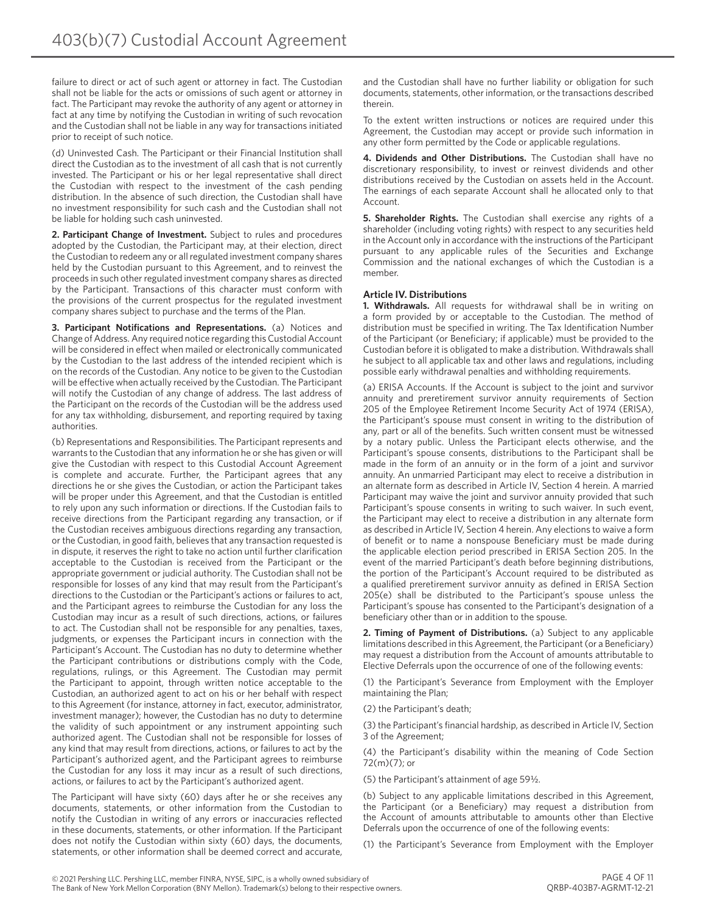failure to direct or act of such agent or attorney in fact. The Custodian shall not be liable for the acts or omissions of such agent or attorney in fact. The Participant may revoke the authority of any agent or attorney in fact at any time by notifying the Custodian in writing of such revocation and the Custodian shall not be liable in any way for transactions initiated prior to receipt of such notice.

(d) Uninvested Cash. The Participant or their Financial Institution shall direct the Custodian as to the investment of all cash that is not currently invested. The Participant or his or her legal representative shall direct the Custodian with respect to the investment of the cash pending distribution. In the absence of such direction, the Custodian shall have no investment responsibility for such cash and the Custodian shall not be liable for holding such cash uninvested.

**2. Participant Change of Investment.** Subject to rules and procedures adopted by the Custodian, the Participant may, at their election, direct the Custodian to redeem any or all regulated investment company shares held by the Custodian pursuant to this Agreement, and to reinvest the proceeds in such other regulated investment company shares as directed by the Participant. Transactions of this character must conform with the provisions of the current prospectus for the regulated investment company shares subject to purchase and the terms of the Plan.

**3. Participant Notifications and Representations.** (a) Notices and Change of Address. Any required notice regarding this Custodial Account will be considered in effect when mailed or electronically communicated by the Custodian to the last address of the intended recipient which is on the records of the Custodian. Any notice to be given to the Custodian will be effective when actually received by the Custodian. The Participant will notify the Custodian of any change of address. The last address of the Participant on the records of the Custodian will be the address used for any tax withholding, disbursement, and reporting required by taxing authorities.

(b) Representations and Responsibilities. The Participant represents and warrants to the Custodian that any information he or she has given or will give the Custodian with respect to this Custodial Account Agreement is complete and accurate. Further, the Participant agrees that any directions he or she gives the Custodian, or action the Participant takes will be proper under this Agreement, and that the Custodian is entitled to rely upon any such information or directions. If the Custodian fails to receive directions from the Participant regarding any transaction, or if the Custodian receives ambiguous directions regarding any transaction, or the Custodian, in good faith, believes that any transaction requested is in dispute, it reserves the right to take no action until further clarification acceptable to the Custodian is received from the Participant or the appropriate government or judicial authority. The Custodian shall not be responsible for losses of any kind that may result from the Participant's directions to the Custodian or the Participant's actions or failures to act, and the Participant agrees to reimburse the Custodian for any loss the Custodian may incur as a result of such directions, actions, or failures to act. The Custodian shall not be responsible for any penalties, taxes, judgments, or expenses the Participant incurs in connection with the Participant's Account. The Custodian has no duty to determine whether the Participant contributions or distributions comply with the Code, regulations, rulings, or this Agreement. The Custodian may permit the Participant to appoint, through written notice acceptable to the Custodian, an authorized agent to act on his or her behalf with respect to this Agreement (for instance, attorney in fact, executor, administrator, investment manager); however, the Custodian has no duty to determine the validity of such appointment or any instrument appointing such authorized agent. The Custodian shall not be responsible for losses of any kind that may result from directions, actions, or failures to act by the Participant's authorized agent, and the Participant agrees to reimburse the Custodian for any loss it may incur as a result of such directions, actions, or failures to act by the Participant's authorized agent.

The Participant will have sixty (60) days after he or she receives any documents, statements, or other information from the Custodian to notify the Custodian in writing of any errors or inaccuracies reflected in these documents, statements, or other information. If the Participant does not notify the Custodian within sixty (60) days, the documents, statements, or other information shall be deemed correct and accurate,

and the Custodian shall have no further liability or obligation for such documents, statements, other information, or the transactions described therein.

To the extent written instructions or notices are required under this Agreement, the Custodian may accept or provide such information in any other form permitted by the Code or applicable regulations.

**4. Dividends and Other Distributions.** The Custodian shall have no discretionary responsibility, to invest or reinvest dividends and other distributions received by the Custodian on assets held in the Account. The earnings of each separate Account shall he allocated only to that Account.

**5. Shareholder Rights.** The Custodian shall exercise any rights of a shareholder (including voting rights) with respect to any securities held in the Account only in accordance with the instructions of the Participant pursuant to any applicable rules of the Securities and Exchange Commission and the national exchanges of which the Custodian is a member.

#### **Article IV. Distributions**

**1. Withdrawals.** All requests for withdrawal shall be in writing on a form provided by or acceptable to the Custodian. The method of distribution must be specified in writing. The Tax Identification Number of the Participant (or Beneficiary; if applicable) must be provided to the Custodian before it is obligated to make a distribution. Withdrawals shall he subject to all applicable tax and other laws and regulations, including possible early withdrawal penalties and withholding requirements.

(a) ERISA Accounts. If the Account is subject to the joint and survivor annuity and preretirement survivor annuity requirements of Section 205 of the Employee Retirement Income Security Act of 1974 (ERISA), the Participant's spouse must consent in writing to the distribution of any, part or all of the benefits. Such written consent must be witnessed by a notary public. Unless the Participant elects otherwise, and the Participant's spouse consents, distributions to the Participant shall be made in the form of an annuity or in the form of a joint and survivor annuity. An unmarried Participant may elect to receive a distribution in an alternate form as described in Article IV, Section 4 herein. A married Participant may waive the joint and survivor annuity provided that such Participant's spouse consents in writing to such waiver. In such event, the Participant may elect to receive a distribution in any alternate form as described in Article IV, Section 4 herein. Any elections to waive a form of benefit or to name a nonspouse Beneficiary must be made during the applicable election period prescribed in ERISA Section 205. In the event of the married Participant's death before beginning distributions, the portion of the Participant's Account required to be distributed as a qualified preretirement survivor annuity as defined in ERISA Section 205(e) shall be distributed to the Participant's spouse unless the Participant's spouse has consented to the Participant's designation of a beneficiary other than or in addition to the spouse.

**2. Timing of Payment of Distributions.** (a) Subject to any applicable limitations described in this Agreement, the Participant (or a Beneficiary) may request a distribution from the Account of amounts attributable to Elective Deferrals upon the occurrence of one of the following events:

(1) the Participant's Severance from Employment with the Employer maintaining the Plan;

(2) the Participant's death;

(3) the Participant's financial hardship, as described in Article IV, Section 3 of the Agreement;

(4) the Participant's disability within the meaning of Code Section 72(m)(7); or

(5) the Participant's attainment of age 59½.

(b) Subject to any applicable limitations described in this Agreement, the Participant (or a Beneficiary) may request a distribution from the Account of amounts attributable to amounts other than Elective Deferrals upon the occurrence of one of the following events:

(1) the Participant's Severance from Employment with the Employer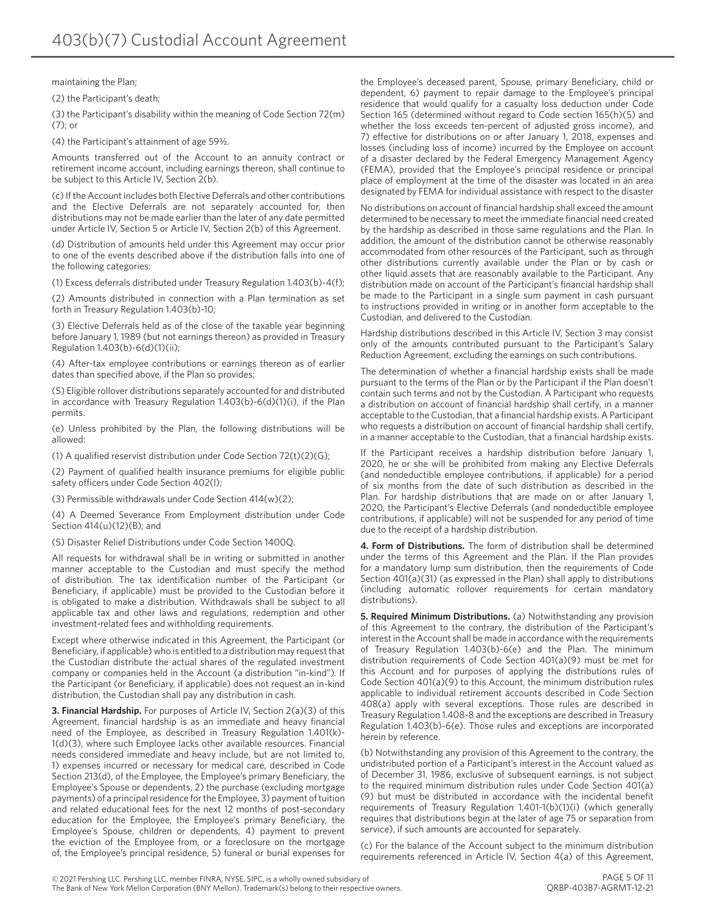maintaining the Plan;

(2) the Participant's death;

(3) the Participant's disability within the meaning of Code Section 72(m) (7); or

(4) the Participant's attainment of age 59½.

Amounts transferred out of the Account to an annuity contract or retirement income account, including earnings thereon, shall continue to be subject to this Article IV, Section 2(b).

(c) If the Account includes both Elective Deferrals and other contributions and the Elective Deferrals are not separately accounted for, then distributions may not be made earlier than the later of any date permitted under Article IV, Section 5 or Article IV, Section 2(b) of this Agreement.

(d) Distribution of amounts held under this Agreement may occur prior to one of the events described above if the distribution falls into one of the following categories:

(1) Excess deferrals distributed under Treasury Regulation 1.403(b)-4(f);

(2) Amounts distributed in connection with a Plan termination as set forth in Treasury Regulation 1.403(b)-10;

(3) Elective Deferrals held as of the close of the taxable year beginning before January 1, 1989 (but not earnings thereon) as provided in Treasury Regulation 1.403(b)-6(d)(1)(ii);

(4) After-tax employee contributions or earnings thereon as of earlier dates than specified above, if the Plan so provides;

(5) Eligible rollover distributions separately accounted for and distributed in accordance with Treasury Regulation 1.403(b)-6(d)(1)(i), if the Plan permits.

(e) Unless prohibited by the Plan, the following distributions will be allowed:

(1) A qualified reservist distribution under Code Section 72(t)(2)(G);

(2) Payment of qualified health insurance premiums for eligible public safety officers under Code Section 402(l);

(3) Permissible withdrawals under Code Section 414(w)(2);

(4) A Deemed Severance From Employment distribution under Code Section 414(u)(12)(B); and

(5) Disaster Relief Distributions under Code Section 1400Q.

All requests for withdrawal shall be in writing or submitted in another manner acceptable to the Custodian and must specify the method of distribution. The tax identification number of the Participant (or Beneficiary, if applicable) must be provided to the Custodian before it is obligated to make a distribution. Withdrawals shall be subject to all applicable tax and other laws and regulations, redemption and other investment-related fees and withholding requirements.

Except where otherwise indicated in this Agreement, the Participant (or Beneficiary, if applicable) who is entitled to a distribution may request that the Custodian distribute the actual shares of the regulated investment company or companies held in the Account (a distribution "in-kind"). If the Participant (or Beneficiary, if applicable) does not request an in-kind distribution, the Custodian shall pay any distribution in cash.

**3. Financial Hardship.** For purposes of Article IV, Section 2(a)(3) of this Agreement, financial hardship is as an immediate and heavy financial need of the Employee, as described in Treasury Regulation 1.401(k)- 1(d)(3), where such Employee lacks other available resources. Financial needs considered immediate and heavy include, but are not limited to, 1) expenses incurred or necessary for medical care, described in Code Section 213(d), of the Employee, the Employee's primary Beneficiary, the Employee's Spouse or dependents, 2) the purchase (excluding mortgage payments) of a principal residence for the Employee, 3) payment of tuition and related educational fees for the next 12 months of post-secondary education for the Employee, the Employee's primary Beneficiary, the Employee's Spouse, children or dependents, 4) payment to prevent the eviction of the Employee from, or a foreclosure on the mortgage of, the Employee's principal residence, 5) funeral or burial expenses for the Employee's deceased parent, Spouse, primary Beneficiary, child or dependent, 6) payment to repair damage to the Employee's principal residence that would qualify for a casualty loss deduction under Code Section 165 (determined without regard to Code section 165(h)(5) and whether the loss exceeds ten-percent of adjusted gross income), and 7) effective for distributions on or after January 1, 2018, expenses and losses (including loss of income) incurred by the Employee on account of a disaster declared by the Federal Emergency Management Agency (FEMA), provided that the Employee's principal residence or principal place of employment at the time of the disaster was located in an area designated by FEMA for individual assistance with respect to the disaster

No distributions on account of financial hardship shall exceed the amount determined to be necessary to meet the immediate financial need created by the hardship as described in those same regulations and the Plan. In addition, the amount of the distribution cannot be otherwise reasonably accommodated from other resources of the Participant, such as through other distributions currently available under the Plan or by cash or other liquid assets that are reasonably available to the Participant. Any distribution made on account of the Participant's financial hardship shall be made to the Participant in a single sum payment in cash pursuant to instructions provided in writing or in another form acceptable to the Custodian, and delivered to the Custodian.

Hardship distributions described in this Article IV, Section 3 may consist only of the amounts contributed pursuant to the Participant's Salary Reduction Agreement, excluding the earnings on such contributions.

The determination of whether a financial hardship exists shall be made pursuant to the terms of the Plan or by the Participant if the Plan doesn't contain such terms and not by the Custodian. A Participant who requests a distribution on account of financial hardship shall certify, in a manner acceptable to the Custodian, that a financial hardship exists. A Participant who requests a distribution on account of financial hardship shall certify, in a manner acceptable to the Custodian, that a financial hardship exists.

If the Participant receives a hardship distribution before January 1, 2020, he or she will be prohibited from making any Elective Deferrals (and nondeductible employee contributions, if applicable) for a period of six months from the date of such distribution as described in the Plan. For hardship distributions that are made on or after January 1, 2020, the Participant's Elective Deferrals (and nondeductible employee contributions, if applicable) will not be suspended for any period of time due to the receipt of a hardship distribution.

**4. Form of Distributions.** The form of distribution shall be determined under the terms of this Agreement and the Plan. If the Plan provides for a mandatory lump sum distribution, then the requirements of Code Section 401(a)(31) (as expressed in the Plan) shall apply to distributions (including automatic rollover requirements for certain mandatory distributions).

**5. Required Minimum Distributions.** (a) Notwithstanding any provision of this Agreement to the contrary, the distribution of the Participant's interest in the Account shall be made in accordance with the requirements of Treasury Regulation 1.403(b)-6(e) and the Plan. The minimum distribution requirements of Code Section 401(a)(9) must be met for this Account and for purposes of applying the distributions rules of Code Section 401(a)(9) to this Account, the minimum distribution rules applicable to individual retirement accounts described in Code Section 408(a) apply with several exceptions. Those rules are described in Treasury Regulation 1.408-8 and the exceptions are described in Treasury Regulation 1.403(b)-6(e). Those rules and exceptions are incorporated herein by reference.

(b) Notwithstanding any provision of this Agreement to the contrary, the undistributed portion of a Participant's interest in the Account valued as of December 31, 1986, exclusive of subsequent earnings, is not subject to the required minimum distribution rules under Code Section 401(a) (9) but must be distributed in accordance with the incidental benefit requirements of Treasury Regulation 1.401-1(b)(1)(i) (which generally requires that distributions begin at the later of age 75 or separation from service), if such amounts are accounted for separately.

(c) For the balance of the Account subject to the minimum distribution requirements referenced in Article IV, Section 4(a) of this Agreement,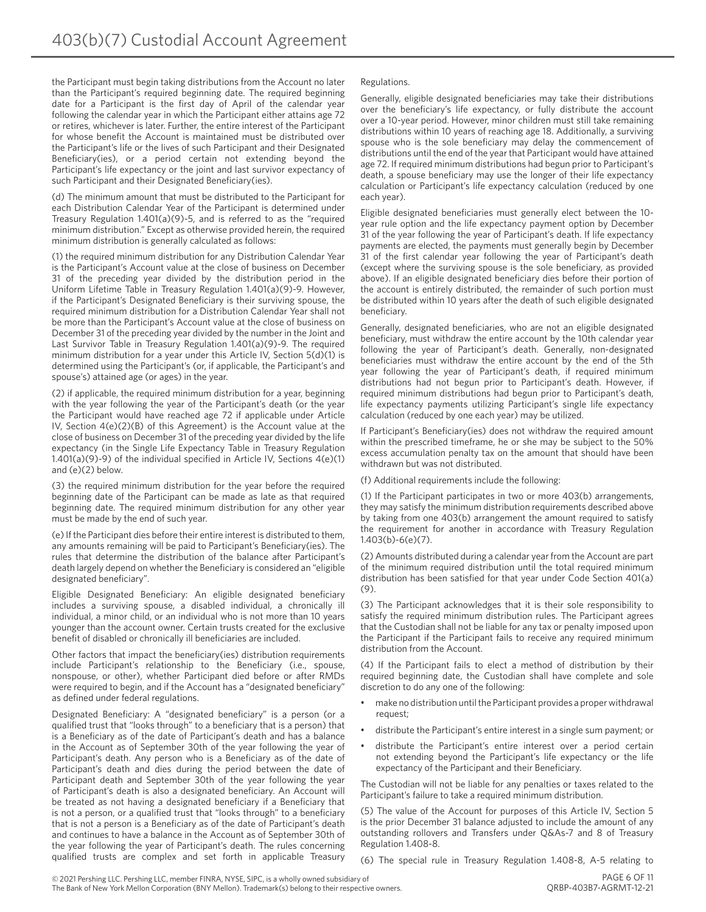the Participant must begin taking distributions from the Account no later than the Participant's required beginning date. The required beginning date for a Participant is the first day of April of the calendar year following the calendar year in which the Participant either attains age 72 or retires, whichever is later. Further, the entire interest of the Participant for whose benefit the Account is maintained must be distributed over the Participant's life or the lives of such Participant and their Designated Beneficiary(ies), or a period certain not extending beyond the Participant's life expectancy or the joint and last survivor expectancy of such Participant and their Designated Beneficiary(ies).

(d) The minimum amount that must be distributed to the Participant for each Distribution Calendar Year of the Participant is determined under Treasury Regulation 1.401(a)(9)-5, and is referred to as the "required minimum distribution." Except as otherwise provided herein, the required minimum distribution is generally calculated as follows:

(1) the required minimum distribution for any Distribution Calendar Year is the Participant's Account value at the close of business on December 31 of the preceding year divided by the distribution period in the Uniform Lifetime Table in Treasury Regulation 1.401(a)(9)-9. However, if the Participant's Designated Beneficiary is their surviving spouse, the required minimum distribution for a Distribution Calendar Year shall not be more than the Participant's Account value at the close of business on December 31 of the preceding year divided by the number in the Joint and Last Survivor Table in Treasury Regulation 1.401(a)(9)-9. The required minimum distribution for a year under this Article IV, Section 5(d)(1) is determined using the Participant's (or, if applicable, the Participant's and spouse's) attained age (or ages) in the year.

(2) if applicable, the required minimum distribution for a year, beginning with the year following the year of the Participant's death (or the year the Participant would have reached age 72 if applicable under Article IV, Section 4(e)(2)(B) of this Agreement) is the Account value at the close of business on December 31 of the preceding year divided by the life expectancy (in the Single Life Expectancy Table in Treasury Regulation 1.401(a)(9)-9) of the individual specified in Article IV, Sections 4(e)(1) and (e)(2) below.

(3) the required minimum distribution for the year before the required beginning date of the Participant can be made as late as that required beginning date. The required minimum distribution for any other year must be made by the end of such year.

(e) If the Participant dies before their entire interest is distributed to them, any amounts remaining will be paid to Participant's Beneficiary(ies). The rules that determine the distribution of the balance after Participant's death largely depend on whether the Beneficiary is considered an "eligible designated beneficiary".

Eligible Designated Beneficiary: An eligible designated beneficiary includes a surviving spouse, a disabled individual, a chronically ill individual, a minor child, or an individual who is not more than 10 years younger than the account owner. Certain trusts created for the exclusive benefit of disabled or chronically ill beneficiaries are included.

Other factors that impact the beneficiary(ies) distribution requirements include Participant's relationship to the Beneficiary (i.e., spouse, nonspouse, or other), whether Participant died before or after RMDs were required to begin, and if the Account has a "designated beneficiary" as defined under federal regulations.

Designated Beneficiary: A "designated beneficiary" is a person (or a qualified trust that "looks through" to a beneficiary that is a person) that is a Beneficiary as of the date of Participant's death and has a balance in the Account as of September 30th of the year following the year of Participant's death. Any person who is a Beneficiary as of the date of Participant's death and dies during the period between the date of Participant death and September 30th of the year following the year of Participant's death is also a designated beneficiary. An Account will be treated as not having a designated beneficiary if a Beneficiary that is not a person, or a qualified trust that "looks through" to a beneficiary that is not a person is a Beneficiary as of the date of Participant's death and continues to have a balance in the Account as of September 30th of the year following the year of Participant's death. The rules concerning qualified trusts are complex and set forth in applicable Treasury

#### Regulations.

Generally, eligible designated beneficiaries may take their distributions over the beneficiary's life expectancy, or fully distribute the account over a 10-year period. However, minor children must still take remaining distributions within 10 years of reaching age 18. Additionally, a surviving spouse who is the sole beneficiary may delay the commencement of distributions until the end of the year that Participant would have attained age 72. If required minimum distributions had begun prior to Participant's death, a spouse beneficiary may use the longer of their life expectancy calculation or Participant's life expectancy calculation (reduced by one each year).

Eligible designated beneficiaries must generally elect between the 10 year rule option and the life expectancy payment option by December 31 of the year following the year of Participant's death. If life expectancy payments are elected, the payments must generally begin by December 31 of the first calendar year following the year of Participant's death (except where the surviving spouse is the sole beneficiary, as provided above). If an eligible designated beneficiary dies before their portion of the account is entirely distributed, the remainder of such portion must be distributed within 10 years after the death of such eligible designated beneficiary.

Generally, designated beneficiaries, who are not an eligible designated beneficiary, must withdraw the entire account by the 10th calendar year following the year of Participant's death. Generally, non-designated beneficiaries must withdraw the entire account by the end of the 5th year following the year of Participant's death, if required minimum distributions had not begun prior to Participant's death. However, if required minimum distributions had begun prior to Participant's death, life expectancy payments utilizing Participant's single life expectancy calculation (reduced by one each year) may be utilized.

If Participant's Beneficiary(ies) does not withdraw the required amount within the prescribed timeframe, he or she may be subject to the 50% excess accumulation penalty tax on the amount that should have been withdrawn but was not distributed.

(f) Additional requirements include the following:

(1) If the Participant participates in two or more 403(b) arrangements, they may satisfy the minimum distribution requirements described above by taking from one 403(b) arrangement the amount required to satisfy the requirement for another in accordance with Treasury Regulation 1.403(b)-6(e)(7).

(2) Amounts distributed during a calendar year from the Account are part of the minimum required distribution until the total required minimum distribution has been satisfied for that year under Code Section 401(a)  $(9)$ 

(3) The Participant acknowledges that it is their sole responsibility to satisfy the required minimum distribution rules. The Participant agrees that the Custodian shall not be liable for any tax or penalty imposed upon the Participant if the Participant fails to receive any required minimum distribution from the Account.

(4) If the Participant fails to elect a method of distribution by their required beginning date, the Custodian shall have complete and sole discretion to do any one of the following:

- make no distribution until the Participant provides a proper withdrawal request;
- distribute the Participant's entire interest in a single sum payment; or
- distribute the Participant's entire interest over a period certain not extending beyond the Participant's life expectancy or the life expectancy of the Participant and their Beneficiary.

The Custodian will not be liable for any penalties or taxes related to the Participant's failure to take a required minimum distribution.

(5) The value of the Account for purposes of this Article IV, Section 5 is the prior December 31 balance adjusted to include the amount of any outstanding rollovers and Transfers under Q&As-7 and 8 of Treasury Regulation 1.408-8.

(6) The special rule in Treasury Regulation 1.408-8, A-5 relating to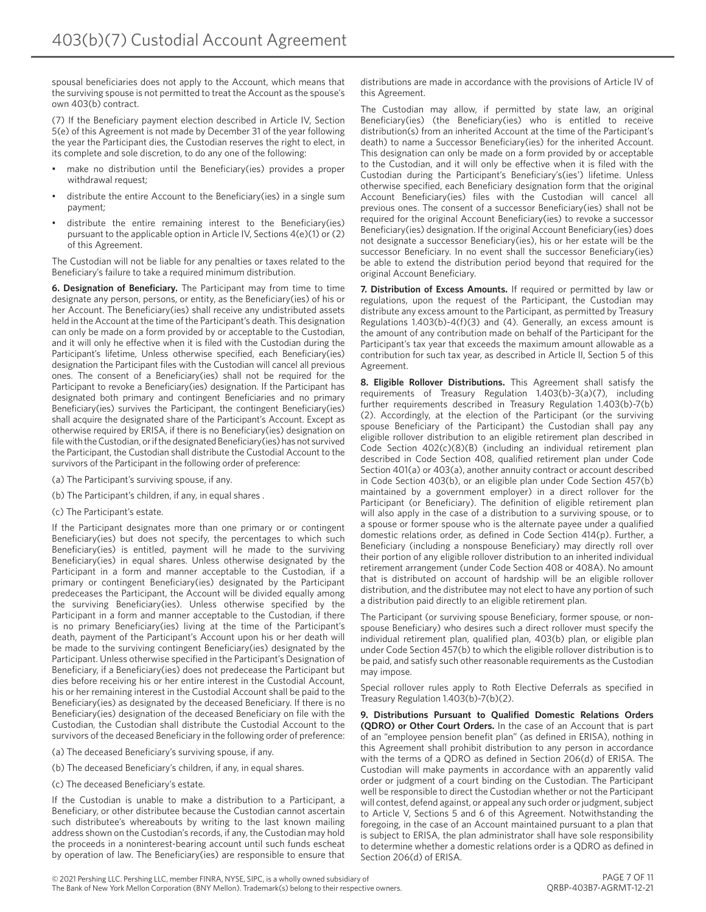spousal beneficiaries does not apply to the Account, which means that the surviving spouse is not permitted to treat the Account as the spouse's own 403(b) contract.

(7) If the Beneficiary payment election described in Article IV, Section 5(e) of this Agreement is not made by December 31 of the year following the year the Participant dies, the Custodian reserves the right to elect, in its complete and sole discretion, to do any one of the following:

- make no distribution until the Beneficiary(ies) provides a proper withdrawal request:
- distribute the entire Account to the Beneficiary(ies) in a single sum payment;
- distribute the entire remaining interest to the Beneficiary(ies) pursuant to the applicable option in Article IV, Sections 4(e)(1) or (2) of this Agreement.

The Custodian will not be liable for any penalties or taxes related to the Beneficiary's failure to take a required minimum distribution.

**6. Designation of Beneficiary.** The Participant may from time to time designate any person, persons, or entity, as the Beneficiary(ies) of his or her Account. The Beneficiary(ies) shall receive any undistributed assets held in the Account at the time of the Participant's death. This designation can only be made on a form provided by or acceptable to the Custodian, and it will only he effective when it is filed with the Custodian during the Participant's lifetime, Unless otherwise specified, each Beneficiary(ies) designation the Participant files with the Custodian will cancel all previous ones. The consent of a Beneficiary(ies) shall not be required for the Participant to revoke a Beneficiary(ies) designation. If the Participant has designated both primary and contingent Beneficiaries and no primary Beneficiary(ies) survives the Participant, the contingent Beneficiary(ies) shall acquire the designated share of the Participant's Account. Except as otherwise required by ERISA, if there is no Beneficiary(ies) designation on file with the Custodian, or if the designated Beneficiary(ies) has not survived the Participant, the Custodian shall distribute the Custodial Account to the survivors of the Participant in the following order of preference:

- (a) The Participant's surviving spouse, if any.
- (b) The Participant's children, if any, in equal shares .
- (c) The Participant's estate.

If the Participant designates more than one primary or or contingent Beneficiary(ies) but does not specify, the percentages to which such Beneficiary(ies) is entitled, payment will he made to the surviving Beneficiary(ies) in equal shares. Unless otherwise designated by the Participant in a form and manner acceptable to the Custodian, if a primary or contingent Beneficiary(ies) designated by the Participant predeceases the Participant, the Account will be divided equally among the surviving Beneficiary(ies). Unless otherwise specified by the Participant in a form and manner acceptable to the Custodian, if there is no primary Beneficiary(ies) living at the time of the Participant's death, payment of the Participant's Account upon his or her death will be made to the surviving contingent Beneficiary(ies) designated by the Participant. Unless otherwise specified in the Participant's Designation of Beneficiary, if a Beneficiary(ies) does not predecease the Participant but dies before receiving his or her entire interest in the Custodial Account, his or her remaining interest in the Custodial Account shall be paid to the Beneficiary(ies) as designated by the deceased Beneficiary. If there is no Beneficiary(ies) designation of the deceased Beneficiary on file with the Custodian, the Custodian shall distribute the Custodial Account to the survivors of the deceased Beneficiary in the following order of preference:

(a) The deceased Beneficiary's surviving spouse, if any.

- (b) The deceased Beneficiary's children, if any, in equal shares.
- (c) The deceased Beneficiary's estate.

If the Custodian is unable to make a distribution to a Participant, a Beneficiary, or other distributee because the Custodian cannot ascertain such distributee's whereabouts by writing to the last known mailing address shown on the Custodian's records, if any, the Custodian may hold the proceeds in a noninterest-bearing account until such funds escheat by operation of law. The Beneficiary(ies) are responsible to ensure that distributions are made in accordance with the provisions of Article IV of this Agreement.

The Custodian may allow, if permitted by state law, an original Beneficiary(ies) (the Beneficiary(ies) who is entitled to receive distribution(s) from an inherited Account at the time of the Participant's death) to name a Successor Beneficiary(ies) for the inherited Account. This designation can only be made on a form provided by or acceptable to the Custodian, and it will only be effective when it is filed with the Custodian during the Participant's Beneficiary's(ies') lifetime. Unless otherwise specified, each Beneficiary designation form that the original Account Beneficiary(ies) files with the Custodian will cancel all previous ones. The consent of a successor Beneficiary(ies) shall not be required for the original Account Beneficiary(ies) to revoke a successor Beneficiary(ies) designation. If the original Account Beneficiary(ies) does not designate a successor Beneficiary(ies), his or her estate will be the successor Beneficiary. In no event shall the successor Beneficiary(ies) be able to extend the distribution period beyond that required for the original Account Beneficiary.

**7. Distribution of Excess Amounts.** If required or permitted by law or regulations, upon the request of the Participant, the Custodian may distribute any excess amount to the Participant, as permitted by Treasury Regulations 1.403(b)-4(f)(3) and (4). Generally, an excess amount is the amount of any contribution made on behalf of the Participant for the Participant's tax year that exceeds the maximum amount allowable as a contribution for such tax year, as described in Article II, Section 5 of this Agreement.

**8. Eligible Rollover Distributions.** This Agreement shall satisfy the requirements of Treasury Regulation 1.403(b)-3(a)(7), including further requirements described in Treasury Regulation 1.403(b)-7(b) (2). Accordingly, at the election of the Participant (or the surviving spouse Beneficiary of the Participant) the Custodian shall pay any eligible rollover distribution to an eligible retirement plan described in Code Section 402(c)(8)(B) (including an individual retirement plan described in Code Section 408, qualified retirement plan under Code Section 401(a) or 403(a), another annuity contract or account described in Code Section 403(b), or an eligible plan under Code Section 457(b) maintained by a government employer) in a direct rollover for the Participant (or Beneficiary). The definition of eligible retirement plan will also apply in the case of a distribution to a surviving spouse, or to a spouse or former spouse who is the alternate payee under a qualified domestic relations order, as defined in Code Section 414(p). Further, a Beneficiary (including a nonspouse Beneficiary) may directly roll over their portion of any eligible rollover distribution to an inherited individual retirement arrangement (under Code Section 408 or 408A). No amount that is distributed on account of hardship will be an eligible rollover distribution, and the distributee may not elect to have any portion of such a distribution paid directly to an eligible retirement plan.

The Participant (or surviving spouse Beneficiary, former spouse, or nonspouse Beneficiary) who desires such a direct rollover must specify the individual retirement plan, qualified plan, 403(b) plan, or eligible plan under Code Section 457(b) to which the eligible rollover distribution is to be paid, and satisfy such other reasonable requirements as the Custodian may impose.

Special rollover rules apply to Roth Elective Deferrals as specified in Treasury Regulation 1.403(b)-7(b)(2).

**9. Distributions Pursuant to Qualified Domestic Relations Orders (QDRO) or Other Court Orders.** In the case of an Account that is part of an "employee pension benefit plan" (as defined in ERISA), nothing in this Agreement shall prohibit distribution to any person in accordance with the terms of a QDRO as defined in Section 206(d) of ERISA. The Custodian will make payments in accordance with an apparently valid order or judgment of a court binding on the Custodian. The Participant well be responsible to direct the Custodian whether or not the Participant will contest, defend against, or appeal any such order or judgment, subject to Article V, Sections 5 and 6 of this Agreement. Notwithstanding the foregoing, in the case of an Account maintained pursuant to a plan that is subject to ERISA, the plan administrator shall have sole responsibility to determine whether a domestic relations order is a QDRO as defined in Section 206(d) of ERISA.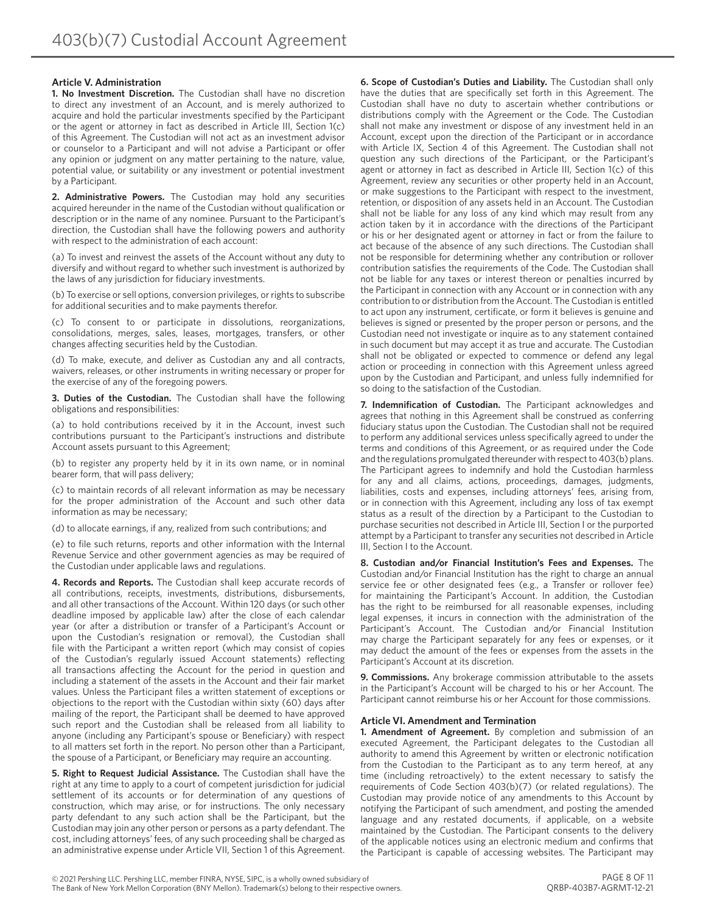#### **Article V. Administration**

**1. No Investment Discretion.** The Custodian shall have no discretion to direct any investment of an Account, and is merely authorized to acquire and hold the particular investments specified by the Participant or the agent or attorney in fact as described in Article III, Section 1(c) of this Agreement. The Custodian will not act as an investment advisor or counselor to a Participant and will not advise a Participant or offer any opinion or judgment on any matter pertaining to the nature, value, potential value, or suitability or any investment or potential investment by a Participant.

**2. Administrative Powers.** The Custodian may hold any securities acquired hereunder in the name of the Custodian without qualification or description or in the name of any nominee. Pursuant to the Participant's direction, the Custodian shall have the following powers and authority with respect to the administration of each account:

(a) To invest and reinvest the assets of the Account without any duty to diversify and without regard to whether such investment is authorized by the laws of any jurisdiction for fiduciary investments.

(b) To exercise or sell options, conversion privileges, or rights to subscribe for additional securities and to make payments therefor.

(c) To consent to or participate in dissolutions, reorganizations, consolidations, merges, sales, leases, mortgages, transfers, or other changes affecting securities held by the Custodian.

(d) To make, execute, and deliver as Custodian any and all contracts, waivers, releases, or other instruments in writing necessary or proper for the exercise of any of the foregoing powers.

**3. Duties of the Custodian.** The Custodian shall have the following obligations and responsibilities:

(a) to hold contributions received by it in the Account, invest such contributions pursuant to the Participant's instructions and distribute Account assets pursuant to this Agreement;

(b) to register any property held by it in its own name, or in nominal bearer form, that will pass delivery;

(c) to maintain records of all relevant information as may be necessary for the proper administration of the Account and such other data information as may be necessary;

(d) to allocate earnings, if any, realized from such contributions; and

(e) to file such returns, reports and other information with the Internal Revenue Service and other government agencies as may be required of the Custodian under applicable laws and regulations.

**4. Records and Reports.** The Custodian shall keep accurate records of all contributions, receipts, investments, distributions, disbursements, and all other transactions of the Account. Within 120 days (or such other deadline imposed by applicable law) after the close of each calendar year (or after a distribution or transfer of a Participant's Account or upon the Custodian's resignation or removal), the Custodian shall file with the Participant a written report (which may consist of copies of the Custodian's regularly issued Account statements) reflecting all transactions affecting the Account for the period in question and including a statement of the assets in the Account and their fair market values. Unless the Participant files a written statement of exceptions or objections to the report with the Custodian within sixty (60) days after mailing of the report, the Participant shall be deemed to have approved such report and the Custodian shall be released from all liability to anyone (including any Participant's spouse or Beneficiary) with respect to all matters set forth in the report. No person other than a Participant, the spouse of a Participant, or Beneficiary may require an accounting.

**5. Right to Request Judicial Assistance.** The Custodian shall have the right at any time to apply to a court of competent jurisdiction for judicial settlement of its accounts or for determination of any questions of construction, which may arise, or for instructions. The only necessary party defendant to any such action shall be the Participant, but the Custodian may join any other person or persons as a party defendant. The cost, including attorneys' fees, of any such proceeding shall be charged as an administrative expense under Article VII, Section 1 of this Agreement. **6. Scope of Custodian's Duties and Liability.** The Custodian shall only have the duties that are specifically set forth in this Agreement. The Custodian shall have no duty to ascertain whether contributions or distributions comply with the Agreement or the Code. The Custodian shall not make any investment or dispose of any investment held in an Account, except upon the direction of the Participant or in accordance with Article IX, Section 4 of this Agreement. The Custodian shall not question any such directions of the Participant, or the Participant's agent or attorney in fact as described in Article III, Section 1(c) of this Agreement, review any securities or other property held in an Account, or make suggestions to the Participant with respect to the investment, retention, or disposition of any assets held in an Account. The Custodian shall not be liable for any loss of any kind which may result from any action taken by it in accordance with the directions of the Participant or his or her designated agent or attorney in fact or from the failure to act because of the absence of any such directions. The Custodian shall not be responsible for determining whether any contribution or rollover contribution satisfies the requirements of the Code. The Custodian shall not be liable for any taxes or interest thereon or penalties incurred by the Participant in connection with any Account or in connection with any contribution to or distribution from the Account. The Custodian is entitled to act upon any instrument, certificate, or form it believes is genuine and believes is signed or presented by the proper person or persons, and the Custodian need not investigate or inquire as to any statement contained in such document but may accept it as true and accurate. The Custodian shall not be obligated or expected to commence or defend any legal action or proceeding in connection with this Agreement unless agreed upon by the Custodian and Participant, and unless fully indemnified for so doing to the satisfaction of the Custodian.

**7. Indemnification of Custodian.** The Participant acknowledges and agrees that nothing in this Agreement shall be construed as conferring fiduciary status upon the Custodian. The Custodian shall not be required to perform any additional services unless specifically agreed to under the terms and conditions of this Agreement, or as required under the Code and the regulations promulgated thereunder with respect to 403(b) plans. The Participant agrees to indemnify and hold the Custodian harmless for any and all claims, actions, proceedings, damages, judgments, liabilities, costs and expenses, including attorneys' fees, arising from, or in connection with this Agreement, including any loss of tax exempt status as a result of the direction by a Participant to the Custodian to purchase securities not described in Article III, Section I or the purported attempt by a Participant to transfer any securities not described in Article III, Section I to the Account.

**8. Custodian and/or Financial Institution's Fees and Expenses.** The Custodian and/or Financial Institution has the right to charge an annual service fee or other designated fees (e.g., a Transfer or rollover fee) for maintaining the Participant's Account. In addition, the Custodian has the right to be reimbursed for all reasonable expenses, including legal expenses, it incurs in connection with the administration of the Participant's Account. The Custodian and/or Financial Institution may charge the Participant separately for any fees or expenses, or it may deduct the amount of the fees or expenses from the assets in the Participant's Account at its discretion.

**9. Commissions.** Any brokerage commission attributable to the assets in the Participant's Account will be charged to his or her Account. The Participant cannot reimburse his or her Account for those commissions.

#### **Article VI. Amendment and Termination**

**1. Amendment of Agreement.** By completion and submission of an executed Agreement, the Participant delegates to the Custodian all authority to amend this Agreement by written or electronic notification from the Custodian to the Participant as to any term hereof, at any time (including retroactively) to the extent necessary to satisfy the requirements of Code Section 403(b)(7) (or related regulations). The Custodian may provide notice of any amendments to this Account by notifying the Participant of such amendment, and posting the amended language and any restated documents, if applicable, on a website maintained by the Custodian. The Participant consents to the delivery of the applicable notices using an electronic medium and confirms that the Participant is capable of accessing websites. The Participant may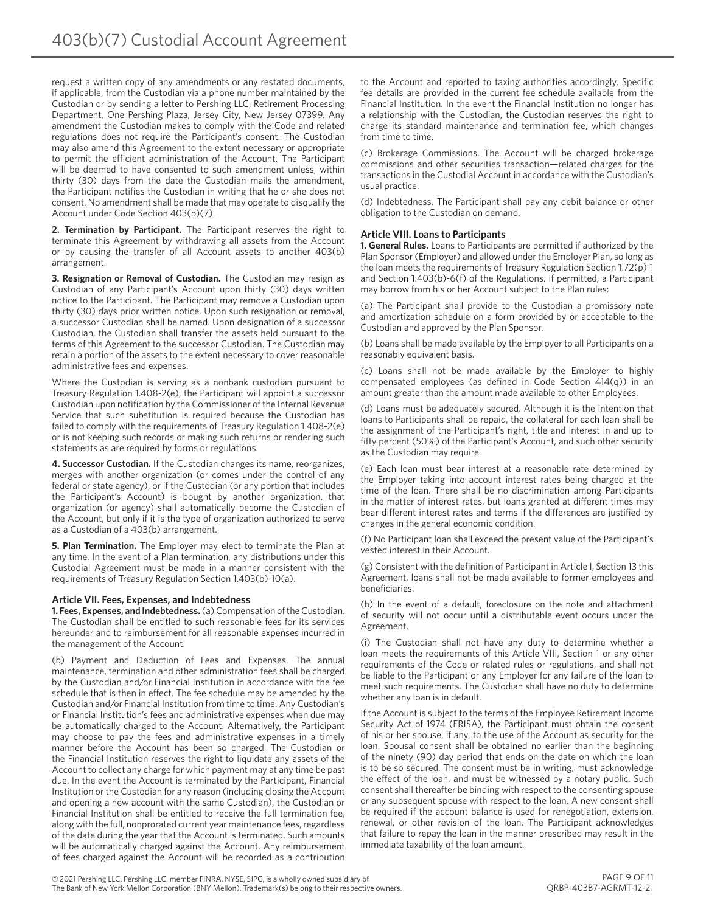request a written copy of any amendments or any restated documents, if applicable, from the Custodian via a phone number maintained by the Custodian or by sending a letter to Pershing LLC, Retirement Processing Department, One Pershing Plaza, Jersey City, New Jersey 07399. Any amendment the Custodian makes to comply with the Code and related regulations does not require the Participant's consent. The Custodian may also amend this Agreement to the extent necessary or appropriate to permit the efficient administration of the Account. The Participant will be deemed to have consented to such amendment unless, within thirty (30) days from the date the Custodian mails the amendment, the Participant notifies the Custodian in writing that he or she does not consent. No amendment shall be made that may operate to disqualify the Account under Code Section 403(b)(7).

**2. Termination by Participant.** The Participant reserves the right to terminate this Agreement by withdrawing all assets from the Account or by causing the transfer of all Account assets to another 403(b) arrangement.

**3. Resignation or Removal of Custodian.** The Custodian may resign as Custodian of any Participant's Account upon thirty (30) days written notice to the Participant. The Participant may remove a Custodian upon thirty (30) days prior written notice. Upon such resignation or removal, a successor Custodian shall be named. Upon designation of a successor Custodian, the Custodian shall transfer the assets held pursuant to the terms of this Agreement to the successor Custodian. The Custodian may retain a portion of the assets to the extent necessary to cover reasonable administrative fees and expenses.

Where the Custodian is serving as a nonbank custodian pursuant to Treasury Regulation 1.408-2(e), the Participant will appoint a successor Custodian upon notification by the Commissioner of the Internal Revenue Service that such substitution is required because the Custodian has failed to comply with the requirements of Treasury Regulation 1.408-2(e) or is not keeping such records or making such returns or rendering such statements as are required by forms or regulations.

**4. Successor Custodian.** If the Custodian changes its name, reorganizes, merges with another organization (or comes under the control of any federal or state agency), or if the Custodian (or any portion that includes the Participant's Account) is bought by another organization, that organization (or agency) shall automatically become the Custodian of the Account, but only if it is the type of organization authorized to serve as a Custodian of a 403(b) arrangement.

**5. Plan Termination.** The Employer may elect to terminate the Plan at any time. In the event of a Plan termination, any distributions under this Custodial Agreement must be made in a manner consistent with the requirements of Treasury Regulation Section 1.403(b)-10(a).

#### **Article VII. Fees, Expenses, and Indebtedness**

**1. Fees, Expenses, and Indebtedness.** (a) Compensation of the Custodian. The Custodian shall be entitled to such reasonable fees for its services hereunder and to reimbursement for all reasonable expenses incurred in the management of the Account.

(b) Payment and Deduction of Fees and Expenses. The annual maintenance, termination and other administration fees shall be charged by the Custodian and/or Financial Institution in accordance with the fee schedule that is then in effect. The fee schedule may be amended by the Custodian and/or Financial Institution from time to time. Any Custodian's or Financial Institution's fees and administrative expenses when due may be automatically charged to the Account. Alternatively, the Participant may choose to pay the fees and administrative expenses in a timely manner before the Account has been so charged. The Custodian or the Financial Institution reserves the right to liquidate any assets of the Account to collect any charge for which payment may at any time be past due. In the event the Account is terminated by the Participant, Financial Institution or the Custodian for any reason (including closing the Account and opening a new account with the same Custodian), the Custodian or Financial Institution shall be entitled to receive the full termination fee, along with the full, nonprorated current year maintenance fees, regardless of the date during the year that the Account is terminated. Such amounts will be automatically charged against the Account. Any reimbursement of fees charged against the Account will be recorded as a contribution

to the Account and reported to taxing authorities accordingly. Specific fee details are provided in the current fee schedule available from the Financial Institution. In the event the Financial Institution no longer has a relationship with the Custodian, the Custodian reserves the right to charge its standard maintenance and termination fee, which changes from time to time.

(c) Brokerage Commissions. The Account will be charged brokerage commissions and other securities transaction—related charges for the transactions in the Custodial Account in accordance with the Custodian's usual practice.

(d) Indebtedness. The Participant shall pay any debit balance or other obligation to the Custodian on demand.

#### **Article VIII. Loans to Participants**

**1. General Rules.** Loans to Participants are permitted if authorized by the Plan Sponsor (Employer) and allowed under the Employer Plan, so long as the loan meets the requirements of Treasury Regulation Section 1.72(p)-1 and Section 1.403(b)-6(f) of the Regulations. If permitted, a Participant may borrow from his or her Account subject to the Plan rules:

(a) The Participant shall provide to the Custodian a promissory note and amortization schedule on a form provided by or acceptable to the Custodian and approved by the Plan Sponsor.

(b) Loans shall be made available by the Employer to all Participants on a reasonably equivalent basis.

(c) Loans shall not be made available by the Employer to highly compensated employees (as defined in Code Section 414(q)) in an amount greater than the amount made available to other Employees.

(d) Loans must be adequately secured. Although it is the intention that loans to Participants shall be repaid, the collateral for each loan shall be the assignment of the Participant's right, title and interest in and up to fifty percent (50%) of the Participant's Account, and such other security as the Custodian may require.

(e) Each loan must bear interest at a reasonable rate determined by the Employer taking into account interest rates being charged at the time of the loan. There shall be no discrimination among Participants in the matter of interest rates, but loans granted at different times may bear different interest rates and terms if the differences are justified by changes in the general economic condition.

(f) No Participant loan shall exceed the present value of the Participant's vested interest in their Account.

(g) Consistent with the definition of Participant in Article I, Section 13 this Agreement, loans shall not be made available to former employees and beneficiaries.

(h) In the event of a default, foreclosure on the note and attachment of security will not occur until a distributable event occurs under the Agreement.

(i) The Custodian shall not have any duty to determine whether a loan meets the requirements of this Article VIII, Section 1 or any other requirements of the Code or related rules or regulations, and shall not be liable to the Participant or any Employer for any failure of the loan to meet such requirements. The Custodian shall have no duty to determine whether any loan is in default.

If the Account is subject to the terms of the Employee Retirement Income Security Act of 1974 (ERISA), the Participant must obtain the consent of his or her spouse, if any, to the use of the Account as security for the loan. Spousal consent shall be obtained no earlier than the beginning of the ninety (90) day period that ends on the date on which the loan is to be so secured. The consent must be in writing, must acknowledge the effect of the loan, and must be witnessed by a notary public. Such consent shall thereafter be binding with respect to the consenting spouse or any subsequent spouse with respect to the loan. A new consent shall be required if the account balance is used for renegotiation, extension, renewal, or other revision of the loan. The Participant acknowledges that failure to repay the loan in the manner prescribed may result in the immediate taxability of the loan amount.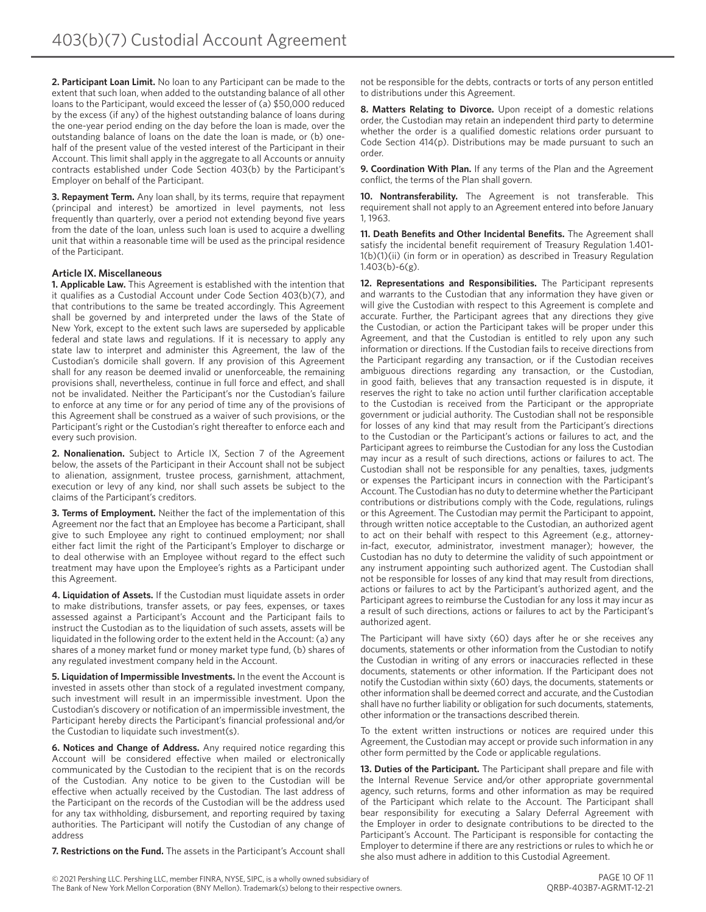**2. Participant Loan Limit.** No loan to any Participant can be made to the extent that such loan, when added to the outstanding balance of all other loans to the Participant, would exceed the lesser of (a) \$50,000 reduced by the excess (if any) of the highest outstanding balance of loans during the one-year period ending on the day before the loan is made, over the outstanding balance of loans on the date the loan is made, or (b) onehalf of the present value of the vested interest of the Participant in their Account. This limit shall apply in the aggregate to all Accounts or annuity contracts established under Code Section 403(b) by the Participant's Employer on behalf of the Participant.

**3. Repayment Term.** Any loan shall, by its terms, require that repayment (principal and interest) be amortized in level payments, not less frequently than quarterly, over a period not extending beyond five years from the date of the loan, unless such loan is used to acquire a dwelling unit that within a reasonable time will be used as the principal residence of the Participant.

#### **Article IX. Miscellaneous**

**1. Applicable Law.** This Agreement is established with the intention that it qualifies as a Custodial Account under Code Section 403(b)(7), and that contributions to the same be treated accordingly. This Agreement shall be governed by and interpreted under the laws of the State of New York, except to the extent such laws are superseded by applicable federal and state laws and regulations. If it is necessary to apply any state law to interpret and administer this Agreement, the law of the Custodian's domicile shall govern. If any provision of this Agreement shall for any reason be deemed invalid or unenforceable, the remaining provisions shall, nevertheless, continue in full force and effect, and shall not be invalidated. Neither the Participant's nor the Custodian's failure to enforce at any time or for any period of time any of the provisions of this Agreement shall be construed as a waiver of such provisions, or the Participant's right or the Custodian's right thereafter to enforce each and every such provision.

**2. Nonalienation.** Subject to Article IX, Section 7 of the Agreement below, the assets of the Participant in their Account shall not be subject to alienation, assignment, trustee process, garnishment, attachment, execution or levy of any kind, nor shall such assets be subject to the claims of the Participant's creditors.

**3. Terms of Employment.** Neither the fact of the implementation of this Agreement nor the fact that an Employee has become a Participant, shall give to such Employee any right to continued employment; nor shall either fact limit the right of the Participant's Employer to discharge or to deal otherwise with an Employee without regard to the effect such treatment may have upon the Employee's rights as a Participant under this Agreement.

**4. Liquidation of Assets.** If the Custodian must liquidate assets in order to make distributions, transfer assets, or pay fees, expenses, or taxes assessed against a Participant's Account and the Participant fails to instruct the Custodian as to the liquidation of such assets, assets will be liquidated in the following order to the extent held in the Account: (a) any shares of a money market fund or money market type fund, (b) shares of any regulated investment company held in the Account.

**5. Liquidation of Impermissible Investments.** In the event the Account is invested in assets other than stock of a regulated investment company, such investment will result in an impermissible investment. Upon the Custodian's discovery or notification of an impermissible investment, the Participant hereby directs the Participant's financial professional and/or the Custodian to liquidate such investment(s).

**6. Notices and Change of Address.** Any required notice regarding this Account will be considered effective when mailed or electronically communicated by the Custodian to the recipient that is on the records of the Custodian. Any notice to be given to the Custodian will be effective when actually received by the Custodian. The last address of the Participant on the records of the Custodian will be the address used for any tax withholding, disbursement, and reporting required by taxing authorities. The Participant will notify the Custodian of any change of address

**7. Restrictions on the Fund.** The assets in the Participant's Account shall

not be responsible for the debts, contracts or torts of any person entitled to distributions under this Agreement.

**8. Matters Relating to Divorce.** Upon receipt of a domestic relations order, the Custodian may retain an independent third party to determine whether the order is a qualified domestic relations order pursuant to Code Section 414(p). Distributions may be made pursuant to such an order.

**9. Coordination With Plan.** If any terms of the Plan and the Agreement conflict, the terms of the Plan shall govern.

**10. Nontransferability.** The Agreement is not transferable. This requirement shall not apply to an Agreement entered into before January 1, 1963.

**11. Death Benefits and Other Incidental Benefits.** The Agreement shall satisfy the incidental benefit requirement of Treasury Regulation 1.401- 1(b)(1)(ii) (in form or in operation) as described in Treasury Regulation 1.403(b)-6(g).

**12. Representations and Responsibilities.** The Participant represents and warrants to the Custodian that any information they have given or will give the Custodian with respect to this Agreement is complete and accurate. Further, the Participant agrees that any directions they give the Custodian, or action the Participant takes will be proper under this Agreement, and that the Custodian is entitled to rely upon any such information or directions. If the Custodian fails to receive directions from the Participant regarding any transaction, or if the Custodian receives ambiguous directions regarding any transaction, or the Custodian, in good faith, believes that any transaction requested is in dispute, it reserves the right to take no action until further clarification acceptable to the Custodian is received from the Participant or the appropriate government or judicial authority. The Custodian shall not be responsible for losses of any kind that may result from the Participant's directions to the Custodian or the Participant's actions or failures to act, and the Participant agrees to reimburse the Custodian for any loss the Custodian may incur as a result of such directions, actions or failures to act. The Custodian shall not be responsible for any penalties, taxes, judgments or expenses the Participant incurs in connection with the Participant's Account. The Custodian has no duty to determine whether the Participant contributions or distributions comply with the Code, regulations, rulings or this Agreement. The Custodian may permit the Participant to appoint, through written notice acceptable to the Custodian, an authorized agent to act on their behalf with respect to this Agreement (e.g., attorneyin-fact, executor, administrator, investment manager); however, the Custodian has no duty to determine the validity of such appointment or any instrument appointing such authorized agent. The Custodian shall not be responsible for losses of any kind that may result from directions, actions or failures to act by the Participant's authorized agent, and the Participant agrees to reimburse the Custodian for any loss it may incur as a result of such directions, actions or failures to act by the Participant's authorized agent.

The Participant will have sixty (60) days after he or she receives any documents, statements or other information from the Custodian to notify the Custodian in writing of any errors or inaccuracies reflected in these documents, statements or other information. If the Participant does not notify the Custodian within sixty (60) days, the documents, statements or other information shall be deemed correct and accurate, and the Custodian shall have no further liability or obligation for such documents, statements, other information or the transactions described therein.

To the extent written instructions or notices are required under this Agreement, the Custodian may accept or provide such information in any other form permitted by the Code or applicable regulations.

**13. Duties of the Participant.** The Participant shall prepare and file with the Internal Revenue Service and/or other appropriate governmental agency, such returns, forms and other information as may be required of the Participant which relate to the Account. The Participant shall bear responsibility for executing a Salary Deferral Agreement with the Employer in order to designate contributions to be directed to the Participant's Account. The Participant is responsible for contacting the Employer to determine if there are any restrictions or rules to which he or she also must adhere in addition to this Custodial Agreement.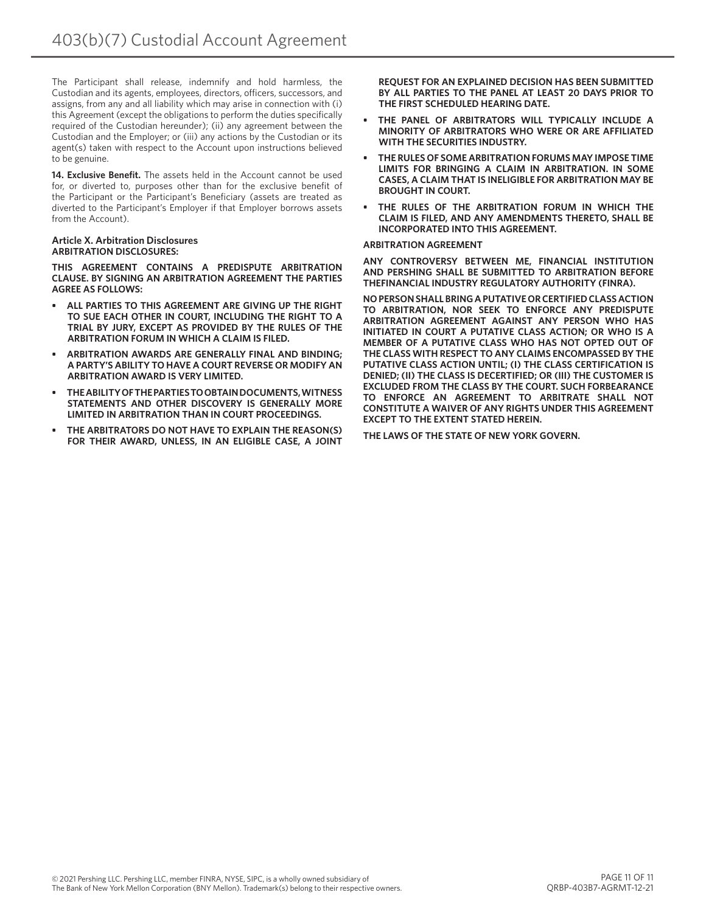The Participant shall release, indemnify and hold harmless, the Custodian and its agents, employees, directors, officers, successors, and assigns, from any and all liability which may arise in connection with (i) this Agreement (except the obligations to perform the duties specifically required of the Custodian hereunder); (ii) any agreement between the Custodian and the Employer; or (iii) any actions by the Custodian or its agent(s) taken with respect to the Account upon instructions believed to be genuine.

**14. Exclusive Benefit.** The assets held in the Account cannot be used for, or diverted to, purposes other than for the exclusive benefit of the Participant or the Participant's Beneficiary (assets are treated as diverted to the Participant's Employer if that Employer borrows assets from the Account).

#### **Article X. Arbitration Disclosures ARBITRATION DISCLOSURES:**

**THIS AGREEMENT CONTAINS A PREDISPUTE ARBITRATION CLAUSE. BY SIGNING AN ARBITRATION AGREEMENT THE PARTIES AGREE AS FOLLOWS:**

- **• ALL PARTIES TO THIS AGREEMENT ARE GIVING UP THE RIGHT TO SUE EACH OTHER IN COURT, INCLUDING THE RIGHT TO A TRIAL BY JURY, EXCEPT AS PROVIDED BY THE RULES OF THE ARBITRATION FORUM IN WHICH A CLAIM IS FILED.**
- **• ARBITRATION AWARDS ARE GENERALLY FINAL AND BINDING; A PARTY'S ABILITY TO HAVE A COURT REVERSE OR MODIFY AN ARBITRATION AWARD IS VERY LIMITED.**
- **• THE ABILITY OF THE PARTIES TO OBTAIN DOCUMENTS, WITNESS STATEMENTS AND OTHER DISCOVERY IS GENERALLY MORE LIMITED IN ARBITRATION THAN IN COURT PROCEEDINGS.**
- **• THE ARBITRATORS DO NOT HAVE TO EXPLAIN THE REASON(S) FOR THEIR AWARD, UNLESS, IN AN ELIGIBLE CASE, A JOINT**

**REQUEST FOR AN EXPLAINED DECISION HAS BEEN SUBMITTED BY ALL PARTIES TO THE PANEL AT LEAST 20 DAYS PRIOR TO THE FIRST SCHEDULED HEARING DATE.**

- **• THE PANEL OF ARBITRATORS WILL TYPICALLY INCLUDE A MINORITY OF ARBITRATORS WHO WERE OR ARE AFFILIATED WITH THE SECURITIES INDUSTRY.**
- **• THE RULES OF SOME ARBITRATION FORUMS MAY IMPOSE TIME LIMITS FOR BRINGING A CLAIM IN ARBITRATION. IN SOME CASES, A CLAIM THAT IS INELIGIBLE FOR ARBITRATION MAY BE BROUGHT IN COURT.**
- **• THE RULES OF THE ARBITRATION FORUM IN WHICH THE CLAIM IS FILED, AND ANY AMENDMENTS THERETO, SHALL BE INCORPORATED INTO THIS AGREEMENT.**

#### **ARBITRATION AGREEMENT**

**ANY CONTROVERSY BETWEEN ME, FINANCIAL INSTITUTION AND PERSHING SHALL BE SUBMITTED TO ARBITRATION BEFORE THEFINANCIAL INDUSTRY REGULATORY AUTHORITY (FINRA).** 

**NO PERSON SHALL BRING A PUTATIVE OR CERTIFIED CLASS ACTION TO ARBITRATION, NOR SEEK TO ENFORCE ANY PREDISPUTE ARBITRATION AGREEMENT AGAINST ANY PERSON WHO HAS INITIATED IN COURT A PUTATIVE CLASS ACTION; OR WHO IS A MEMBER OF A PUTATIVE CLASS WHO HAS NOT OPTED OUT OF THE CLASS WITH RESPECT TO ANY CLAIMS ENCOMPASSED BY THE PUTATIVE CLASS ACTION UNTIL; (I) THE CLASS CERTIFICATION IS DENIED; (II) THE CLASS IS DECERTIFIED; OR (III) THE CUSTOMER IS EXCLUDED FROM THE CLASS BY THE COURT. SUCH FORBEARANCE TO ENFORCE AN AGREEMENT TO ARBITRATE SHALL NOT CONSTITUTE A WAIVER OF ANY RIGHTS UNDER THIS AGREEMENT EXCEPT TO THE EXTENT STATED HEREIN.**

**THE LAWS OF THE STATE OF NEW YORK GOVERN.**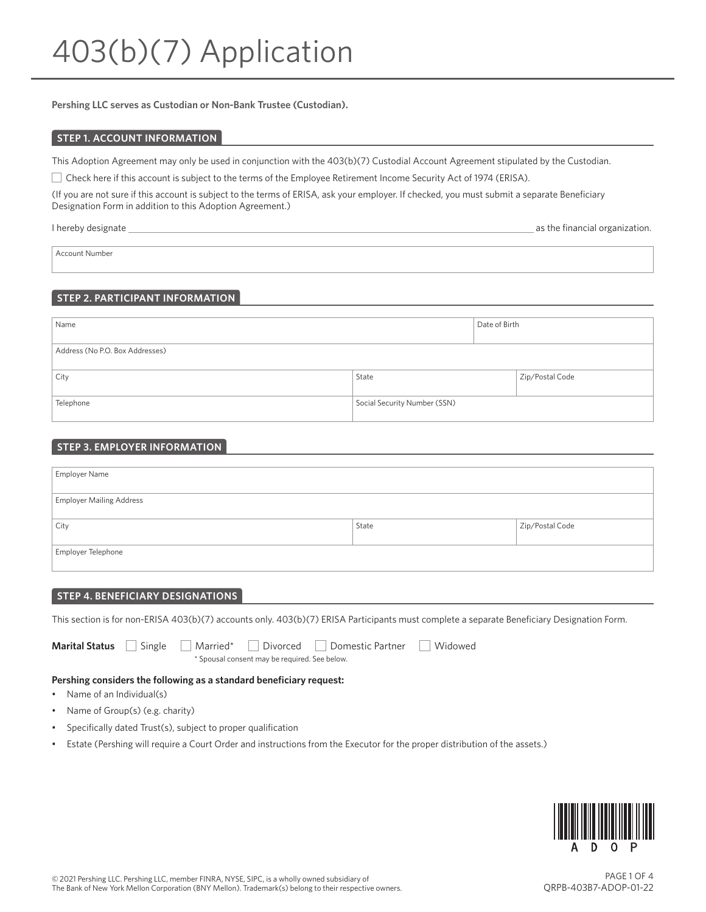**Pershing LLC serves as Custodian or Non-Bank Trustee (Custodian).**

#### **STEP 1. ACCOUNT INFORMATION**

This Adoption Agreement may only be used in conjunction with the 403(b)(7) Custodial Account Agreement stipulated by the Custodian.

Check here if this account is subject to the terms of the Employee Retirement Income Security Act of 1974 (ERISA).

(If you are not sure if this account is subject to the terms of ERISA, ask your employer. If checked, you must submit a separate Beneficiary Designation Form in addition to this Adoption Agreement.)

I hereby designate <u>as the financial organization</u>.

Account Number

# **STEP 2. PARTICIPANT INFORMATION**

| Name                            |                              | Date of Birth |                 |
|---------------------------------|------------------------------|---------------|-----------------|
| Address (No P.O. Box Addresses) |                              |               |                 |
| City                            | State                        |               | Zip/Postal Code |
| Telephone                       | Social Security Number (SSN) |               |                 |

# **STEP 3. EMPLOYER INFORMATION**

| Employer Name                   |       |                 |
|---------------------------------|-------|-----------------|
|                                 |       |                 |
| <b>Employer Mailing Address</b> |       |                 |
|                                 |       |                 |
| City                            | State | Zip/Postal Code |
|                                 |       |                 |
| Employer Telephone              |       |                 |
|                                 |       |                 |

#### **STEP 4. BENEFICIARY DESIGNATIONS**

This section is for non-ERISA 403(b)(7) accounts only. 403(b)(7) ERISA Participants must complete a separate Beneficiary Designation Form.

**Marital Status** Single Married\* Divorced Domestic Partner Widowed \* Spousal consent may be required. See below.

# **Pershing considers the following as a standard beneficiary request:**

- Name of an Individual(s)
- Name of Group(s) (e.g. charity)
- Specifically dated Trust(s), subject to proper qualification
- Estate (Pershing will require a Court Order and instructions from the Executor for the proper distribution of the assets.)

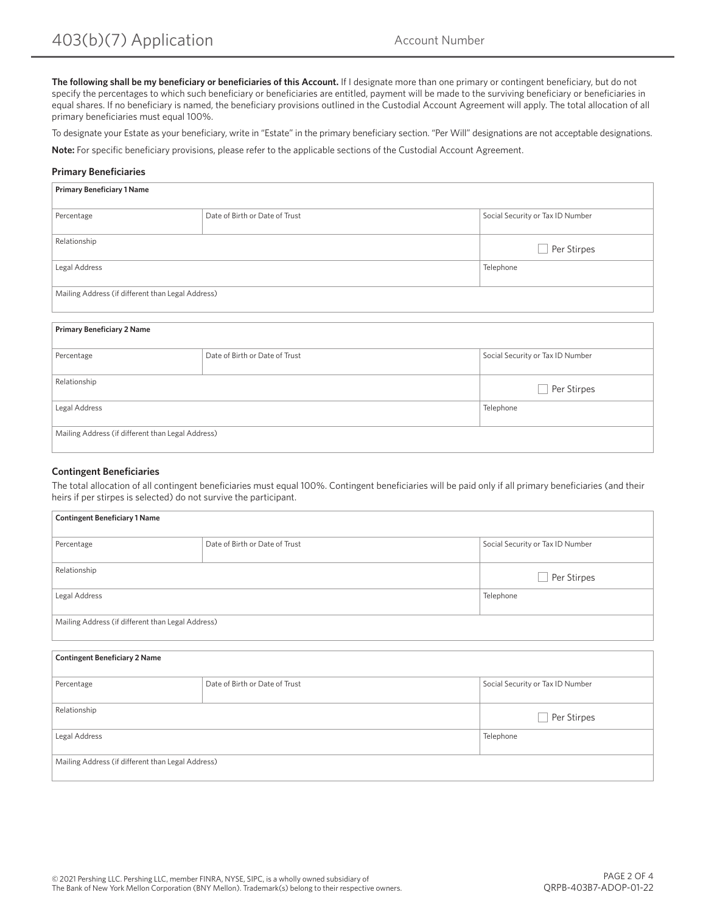**The following shall be my beneficiary or beneficiaries of this Account.** If I designate more than one primary or contingent beneficiary, but do not specify the percentages to which such beneficiary or beneficiaries are entitled, payment will be made to the surviving beneficiary or beneficiaries in equal shares. If no beneficiary is named, the beneficiary provisions outlined in the Custodial Account Agreement will apply. The total allocation of all primary beneficiaries must equal 100%.

To designate your Estate as your beneficiary, write in "Estate" in the primary beneficiary section. "Per Will" designations are not acceptable designations.

**Note:** For specific beneficiary provisions, please refer to the applicable sections of the Custodial Account Agreement.

#### **Primary Beneficiaries**

| <b>Primary Beneficiary 1 Name</b>                 |                                |                                  |
|---------------------------------------------------|--------------------------------|----------------------------------|
| Percentage                                        | Date of Birth or Date of Trust | Social Security or Tax ID Number |
| Relationship                                      |                                | Per Stirpes                      |
| Legal Address                                     |                                | Telephone                        |
| Mailing Address (if different than Legal Address) |                                |                                  |

#### **Primary Beneficiary 2 Name**

| Percentage                                        | Date of Birth or Date of Trust | Social Security or Tax ID Number |
|---------------------------------------------------|--------------------------------|----------------------------------|
|                                                   |                                |                                  |
| Relationship                                      |                                | Per Stirpes                      |
| Legal Address                                     |                                | Telephone                        |
| Mailing Address (if different than Legal Address) |                                |                                  |

#### **Contingent Beneficiaries**

The total allocation of all contingent beneficiaries must equal 100%. Contingent beneficiaries will be paid only if all primary beneficiaries (and their heirs if per stirpes is selected) do not survive the participant.

| <b>Contingent Beneficiary 1 Name</b>              |                                |                                  |
|---------------------------------------------------|--------------------------------|----------------------------------|
| Percentage                                        | Date of Birth or Date of Trust | Social Security or Tax ID Number |
| Relationship                                      |                                | Per Stirpes                      |
| Legal Address                                     |                                | Telephone                        |
| Mailing Address (if different than Legal Address) |                                |                                  |

| <b>Contingent Beneficiary 2 Name</b>              |                                |                                  |
|---------------------------------------------------|--------------------------------|----------------------------------|
| Percentage                                        | Date of Birth or Date of Trust | Social Security or Tax ID Number |
| Relationship                                      |                                | Per Stirpes                      |
| Legal Address                                     |                                | Telephone                        |
| Mailing Address (if different than Legal Address) |                                |                                  |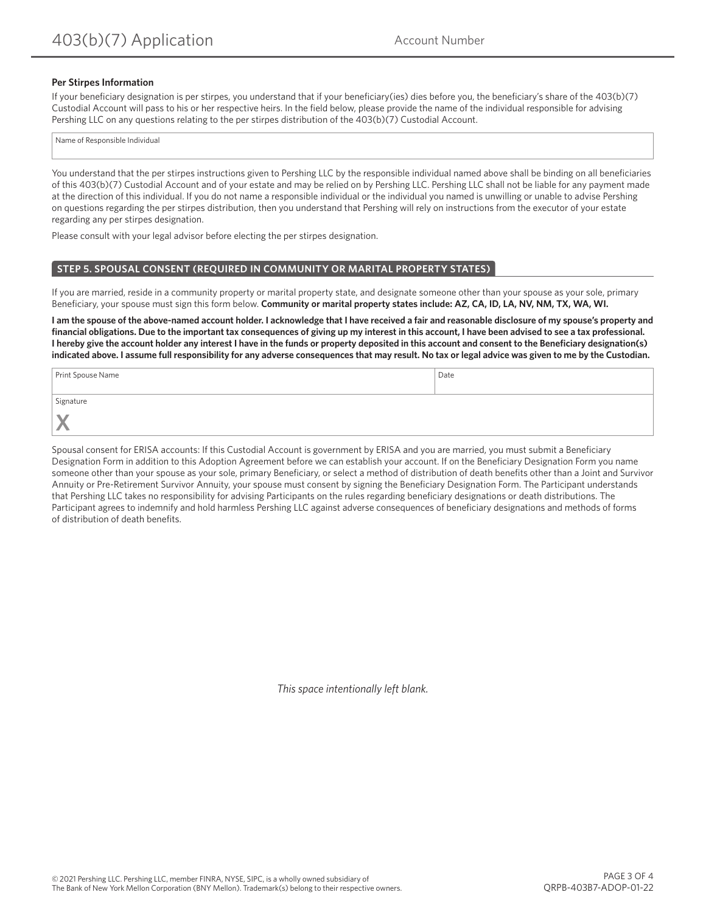#### **Per Stirpes Information**

If your beneficiary designation is per stirpes, you understand that if your beneficiary(ies) dies before you, the beneficiary's share of the 403(b)(7) Custodial Account will pass to his or her respective heirs. In the field below, please provide the name of the individual responsible for advising Pershing LLC on any questions relating to the per stirpes distribution of the 403(b)(7) Custodial Account.

Name of Responsible Individual

You understand that the per stirpes instructions given to Pershing LLC by the responsible individual named above shall be binding on all beneficiaries of this 403(b)(7) Custodial Account and of your estate and may be relied on by Pershing LLC. Pershing LLC shall not be liable for any payment made at the direction of this individual. If you do not name a responsible individual or the individual you named is unwilling or unable to advise Pershing on questions regarding the per stirpes distribution, then you understand that Pershing will rely on instructions from the executor of your estate regarding any per stirpes designation.

Please consult with your legal advisor before electing the per stirpes designation.

#### **STEP 5. SPOUSAL CONSENT (REQUIRED IN COMMUNITY OR MARITAL PROPERTY STATES)**

If you are married, reside in a community property or marital property state, and designate someone other than your spouse as your sole, primary Beneficiary, your spouse must sign this form below. **Community or marital property states include: AZ, CA, ID, LA, NV, NM, TX, WA, WI.**

**I am the spouse of the above-named account holder. I acknowledge that I have received a fair and reasonable disclosure of my spouse's property and financial obligations. Due to the important tax consequences of giving up my interest in this account, I have been advised to see a tax professional. I hereby give the account holder any interest I have in the funds or property deposited in this account and consent to the Beneficiary designation(s) indicated above. I assume full responsibility for any adverse consequences that may result. No tax or legal advice was given to me by the Custodian.**

| Print Spouse Name | Date |
|-------------------|------|
| Signature         |      |
| N<br>s.           |      |

Spousal consent for ERISA accounts: If this Custodial Account is government by ERISA and you are married, you must submit a Beneficiary Designation Form in addition to this Adoption Agreement before we can establish your account. If on the Beneficiary Designation Form you name someone other than your spouse as your sole, primary Beneficiary, or select a method of distribution of death benefits other than a Joint and Survivor Annuity or Pre-Retirement Survivor Annuity, your spouse must consent by signing the Beneficiary Designation Form. The Participant understands that Pershing LLC takes no responsibility for advising Participants on the rules regarding beneficiary designations or death distributions. The Participant agrees to indemnify and hold harmless Pershing LLC against adverse consequences of beneficiary designations and methods of forms of distribution of death benefits.

*This space intentionally left blank.*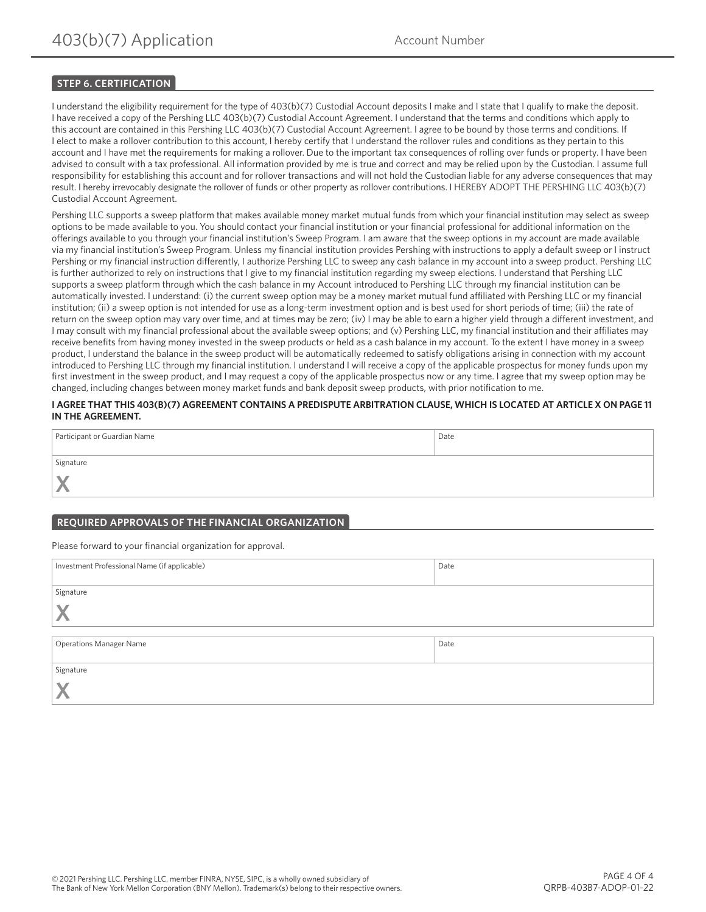# **STEP 6. CERTIFICATION**

I understand the eligibility requirement for the type of 403(b)(7) Custodial Account deposits I make and I state that I qualify to make the deposit. I have received a copy of the Pershing LLC 403(b)(7) Custodial Account Agreement. I understand that the terms and conditions which apply to this account are contained in this Pershing LLC 403(b)(7) Custodial Account Agreement. I agree to be bound by those terms and conditions. If I elect to make a rollover contribution to this account, I hereby certify that I understand the rollover rules and conditions as they pertain to this account and I have met the requirements for making a rollover. Due to the important tax consequences of rolling over funds or property. I have been advised to consult with a tax professional. All information provided by me is true and correct and may be relied upon by the Custodian. I assume full responsibility for establishing this account and for rollover transactions and will not hold the Custodian liable for any adverse consequences that may result. I hereby irrevocably designate the rollover of funds or other property as rollover contributions. I HEREBY ADOPT THE PERSHING LLC 403(b)(7) Custodial Account Agreement.

Pershing LLC supports a sweep platform that makes available money market mutual funds from which your financial institution may select as sweep options to be made available to you. You should contact your financial institution or your financial professional for additional information on the offerings available to you through your financial institution's Sweep Program. I am aware that the sweep options in my account are made available via my financial institution's Sweep Program. Unless my financial institution provides Pershing with instructions to apply a default sweep or I instruct Pershing or my financial instruction differently, I authorize Pershing LLC to sweep any cash balance in my account into a sweep product. Pershing LLC is further authorized to rely on instructions that I give to my financial institution regarding my sweep elections. I understand that Pershing LLC supports a sweep platform through which the cash balance in my Account introduced to Pershing LLC through my financial institution can be automatically invested. I understand: (i) the current sweep option may be a money market mutual fund affiliated with Pershing LLC or my financial institution; (ii) a sweep option is not intended for use as a long-term investment option and is best used for short periods of time; (iii) the rate of return on the sweep option may vary over time, and at times may be zero; (iv) I may be able to earn a higher yield through a different investment, and I may consult with my financial professional about the available sweep options; and (v) Pershing LLC, my financial institution and their affiliates may receive benefits from having money invested in the sweep products or held as a cash balance in my account. To the extent I have money in a sweep product, I understand the balance in the sweep product will be automatically redeemed to satisfy obligations arising in connection with my account introduced to Pershing LLC through my financial institution. I understand I will receive a copy of the applicable prospectus for money funds upon my first investment in the sweep product, and I may request a copy of the applicable prospectus now or any time. I agree that my sweep option may be changed, including changes between money market funds and bank deposit sweep products, with prior notification to me.

#### **I AGREE THAT THIS 403(B)(7) AGREEMENT CONTAINS A PREDISPUTE ARBITRATION CLAUSE, WHICH IS LOCATED AT ARTICLE X ON PAGE 11 IN THE AGREEMENT.**

| Participant or Guardian Name | Date |
|------------------------------|------|
| Signature                    |      |
| N                            |      |

# **REQUIRED APPROVALS OF THE FINANCIAL ORGANIZATION**

Please forward to your financial organization for approval.

| Investment Professional Name (if applicable) | Date |
|----------------------------------------------|------|
|                                              |      |
| Signature                                    |      |
|                                              |      |
|                                              |      |
| <b>Operations Manager Name</b>               | Date |
| Signature                                    |      |
|                                              |      |
|                                              |      |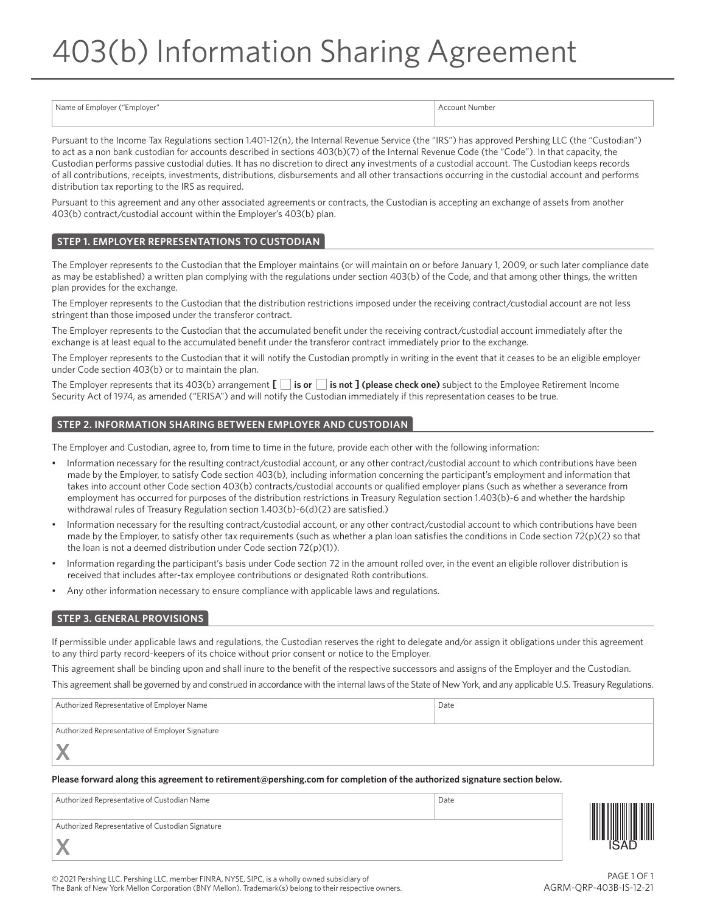# 403(b) Information Sharing Agreement

| Name of<br>i Employer ("Employer" | count Number |
|-----------------------------------|--------------|
|                                   |              |

Pursuant to the Income Tax Regulations section 1.401-12(n), the Internal Revenue Service (the "IRS") has approved Pershing LLC (the "Custodian") to act as a non bank custodian for accounts described in sections 403(b)(7) of the Internal Revenue Code (the "Code"). In that capacity, the Custodian performs passive custodial duties. It has no discretion to direct any investments of a custodial account. The Custodian keeps records of all contributions, receipts, investments, distributions, disbursements and all other transactions occurring in the custodial account and performs distribution tax reporting to the IRS as required.

Pursuant to this agreement and any other associated agreements or contracts, the Custodian is accepting an exchange of assets from another 403(b) contract/custodial account within the Employer's 403(b) plan.

# **STEP 1. EMPLOYER REPRESENTATIONS TO CUSTODIAN**

The Employer represents to the Custodian that the Employer maintains (or will maintain on or before January 1, 2009, or such later compliance date as may be established) a written plan complying with the regulations under section 403(b) of the Code, and that among other things, the written plan provides for the exchange.

The Employer represents to the Custodian that the distribution restrictions imposed under the receiving contract/custodial account are not less stringent than those imposed under the transferor contract.

The Employer represents to the Custodian that the accumulated benefit under the receiving contract/custodial account immediately after the exchange is at least equal to the accumulated benefit under the transferor contract immediately prior to the exchange.

The Employer represents to the Custodian that it will notify the Custodian promptly in writing in the event that it ceases to be an eligible employer under Code section 403(b) or to maintain the plan.

The Employer represents that its 403(b) arrangement **[** □ i**s or** □ **is not ] (please check one)** subject to the Employee Retirement Income Security Act of 1974, as amended ("ERISA") and will notify the Custodian immediately if this representation ceases to be true.

#### **STEP 2. INFORMATION SHARING BETWEEN EMPLOYER AND CUSTODIAN**

The Employer and Custodian, agree to, from time to time in the future, provide each other with the following information:

- Information necessary for the resulting contract/custodial account, or any other contract/custodial account to which contributions have been made by the Employer, to satisfy Code section 403(b), including information concerning the participant's employment and information that takes into account other Code section 403(b) contracts/custodial accounts or qualified employer plans (such as whether a severance from employment has occurred for purposes of the distribution restrictions in Treasury Regulation section 1.403(b)-6 and whether the hardship withdrawal rules of Treasury Regulation section 1.403(b)-6(d)(2) are satisfied.)
- Information necessary for the resulting contract/custodial account, or any other contract/custodial account to which contributions have been made by the Employer, to satisfy other tax requirements (such as whether a plan loan satisfies the conditions in Code section 72(p)(2) so that the loan is not a deemed distribution under Code section 72(p)(1)).
- Information regarding the participant's basis under Code section 72 in the amount rolled over, in the event an eligible rollover distribution is received that includes after-tax employee contributions or designated Roth contributions.
- Any other information necessary to ensure compliance with applicable laws and regulations.

#### **STEP 3. GENERAL PROVISIONS**

If permissible under applicable laws and regulations, the Custodian reserves the right to delegate and/or assign it obligations under this agreement to any third party record-keepers of its choice without prior consent or notice to the Employer.

This agreement shall be binding upon and shall inure to the benefit of the respective successors and assigns of the Employer and the Custodian.

This agreement shall be governed by and construed in accordance with the internal laws of the State of New York, and any applicable U.S. Treasury Regulations.

| Authorized Representative of Employer Name      | Date |
|-------------------------------------------------|------|
|                                                 |      |
| Authorized Representative of Employer Signature |      |
| N.A                                             |      |

**Please forward along this agreement to retirement@pershing.com for completion of the authorized signature section below.**

| Authorized Representative of Custodian Name      | Date | A DIITI IIII IIII III |
|--------------------------------------------------|------|-----------------------|
| Authorized Representative of Custodian Signature |      |                       |
|                                                  |      | HIIII III IIII IIII   |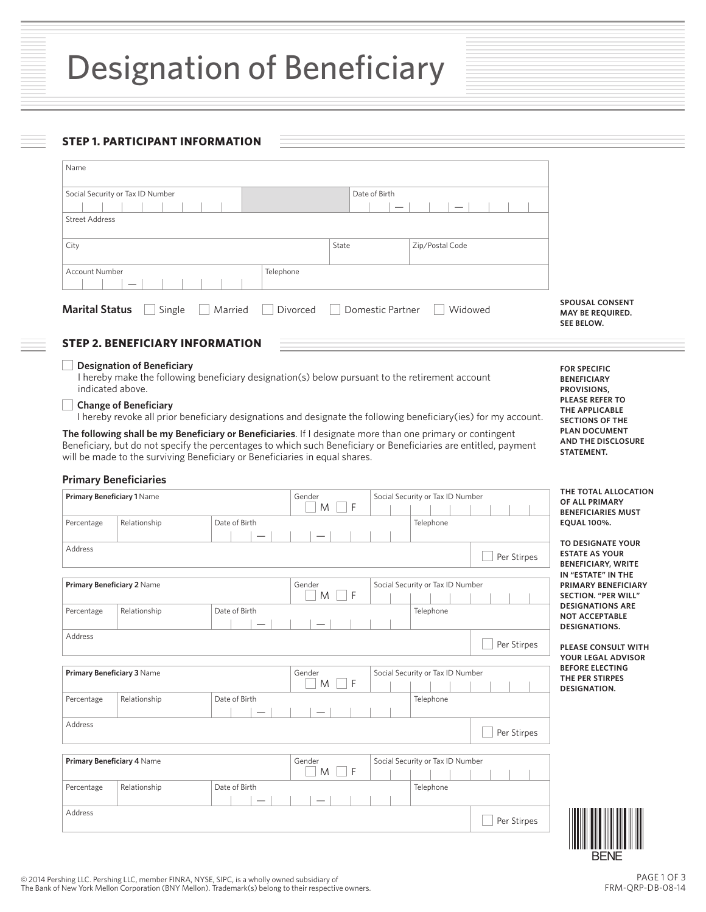# **STEP 1. PARTICIPANT INFORMATION**

| Name                                                                                  |                                                                                                                                                                                                                                                                                                                                                                                                                                  |               |             |       |               |                                               |  |  |                                                                 |                                                                                                      |
|---------------------------------------------------------------------------------------|----------------------------------------------------------------------------------------------------------------------------------------------------------------------------------------------------------------------------------------------------------------------------------------------------------------------------------------------------------------------------------------------------------------------------------|---------------|-------------|-------|---------------|-----------------------------------------------|--|--|-----------------------------------------------------------------|------------------------------------------------------------------------------------------------------|
|                                                                                       | Social Security or Tax ID Number                                                                                                                                                                                                                                                                                                                                                                                                 |               |             |       | Date of Birth |                                               |  |  |                                                                 |                                                                                                      |
| <b>Street Address</b>                                                                 |                                                                                                                                                                                                                                                                                                                                                                                                                                  |               |             |       |               |                                               |  |  |                                                                 |                                                                                                      |
| City                                                                                  |                                                                                                                                                                                                                                                                                                                                                                                                                                  |               |             | State |               | Zip/Postal Code                               |  |  |                                                                 |                                                                                                      |
|                                                                                       |                                                                                                                                                                                                                                                                                                                                                                                                                                  |               |             |       |               |                                               |  |  |                                                                 |                                                                                                      |
| <b>Account Number</b><br>Telephone                                                    |                                                                                                                                                                                                                                                                                                                                                                                                                                  |               |             |       |               |                                               |  |  |                                                                 |                                                                                                      |
| <b>Marital Status</b><br>Domestic Partner<br>Single<br>Divorced<br>Widowed<br>Married |                                                                                                                                                                                                                                                                                                                                                                                                                                  |               |             |       |               |                                               |  |  | <b>SPOUSAL CONSENT</b><br><b>MAY BE REQUIRED.</b><br>SEE BELOW. |                                                                                                      |
|                                                                                       | <b>STEP 2. BENEFICIARY INFORMATION</b>                                                                                                                                                                                                                                                                                                                                                                                           |               |             |       |               |                                               |  |  |                                                                 |                                                                                                      |
| indicated above.                                                                      | <b>Designation of Beneficiary</b><br>I hereby make the following beneficiary designation(s) below pursuant to the retirement account<br><b>Change of Beneficiary</b>                                                                                                                                                                                                                                                             |               |             |       |               |                                               |  |  |                                                                 | <b>FOR SPECIFIC</b><br><b>BENEFICIARY</b><br>PROVISIONS,<br><b>PLEASE REFER TO</b><br>THE APPLICABLE |
|                                                                                       | I hereby revoke all prior beneficiary designations and designate the following beneficiary(ies) for my account.<br>The following shall be my Beneficiary or Beneficiaries. If I designate more than one primary or contingent<br>Beneficiary, but do not specify the percentages to which such Beneficiary or Beneficiaries are entitled, payment<br>will be made to the surviving Beneficiary or Beneficiaries in equal shares. |               |             |       |               |                                               |  |  |                                                                 | <b>SECTIONS OF THE</b><br><b>PLAN DOCUMENT</b><br><b>AND THE DISCLOSURE</b><br>STATEMENT.            |
| <b>Primary Beneficiaries</b>                                                          |                                                                                                                                                                                                                                                                                                                                                                                                                                  |               |             |       |               |                                               |  |  |                                                                 | THE TOTAL ALLOCATION                                                                                 |
| Primary Beneficiary 1 Name<br>Percentage                                              | Relationship                                                                                                                                                                                                                                                                                                                                                                                                                     | Date of Birth | Gender<br>M | F     |               | Social Security or Tax ID Number<br>Telephone |  |  |                                                                 | OF ALL PRIMARY<br><b>BENEFICIARIES MUST</b><br><b>EQUAL 100%.</b>                                    |
| Address                                                                               |                                                                                                                                                                                                                                                                                                                                                                                                                                  |               |             |       |               |                                               |  |  |                                                                 | TO DESIGNATE YOUR                                                                                    |
|                                                                                       |                                                                                                                                                                                                                                                                                                                                                                                                                                  |               |             |       |               |                                               |  |  | Per Stirpes                                                     | <b>ESTATE AS YOUR</b><br><b>BENEFICIARY, WRITE</b>                                                   |
| Primary Beneficiary 2 Name                                                            |                                                                                                                                                                                                                                                                                                                                                                                                                                  |               | Gender<br>M | F     |               | Social Security or Tax ID Number              |  |  |                                                                 | IN "ESTATE" IN THE<br>PRIMARY BENEFICIARY<br><b>SECTION. "PER WILL"</b>                              |
| Percentage                                                                            | Relationship                                                                                                                                                                                                                                                                                                                                                                                                                     | Date of Birth |             |       |               | Telephone                                     |  |  |                                                                 | <b>DESIGNATIONS ARE</b><br><b>NOT ACCEPTABLE</b><br>DESIGNATIONS.                                    |
| <b>Address</b>                                                                        |                                                                                                                                                                                                                                                                                                                                                                                                                                  |               |             |       |               |                                               |  |  | Per Stirpes                                                     | PLEASE CONSULT WITH<br>YOUR LEGAL ADVISOR                                                            |
| <b>Primary Beneficiary 3 Name</b>                                                     |                                                                                                                                                                                                                                                                                                                                                                                                                                  |               | Gender<br>M | F     |               | Social Security or Tax ID Number              |  |  |                                                                 | <b>BEFORE ELECTING</b><br>THE PER STIRPES                                                            |
| Percentage                                                                            | Relationship                                                                                                                                                                                                                                                                                                                                                                                                                     | Date of Birth |             |       |               | Telephone                                     |  |  |                                                                 | DESIGNATION.                                                                                         |
| Address                                                                               |                                                                                                                                                                                                                                                                                                                                                                                                                                  |               |             |       |               |                                               |  |  | Per Stirpes                                                     |                                                                                                      |
| Primary Beneficiary 4 Name                                                            |                                                                                                                                                                                                                                                                                                                                                                                                                                  |               | Gender<br>M | F     |               | Social Security or Tax ID Number              |  |  |                                                                 |                                                                                                      |
| Percentage                                                                            | Relationship                                                                                                                                                                                                                                                                                                                                                                                                                     | Date of Birth |             |       |               | Telephone                                     |  |  |                                                                 |                                                                                                      |
| Address                                                                               |                                                                                                                                                                                                                                                                                                                                                                                                                                  |               |             |       |               |                                               |  |  | Per Stirpes                                                     | BENE                                                                                                 |

E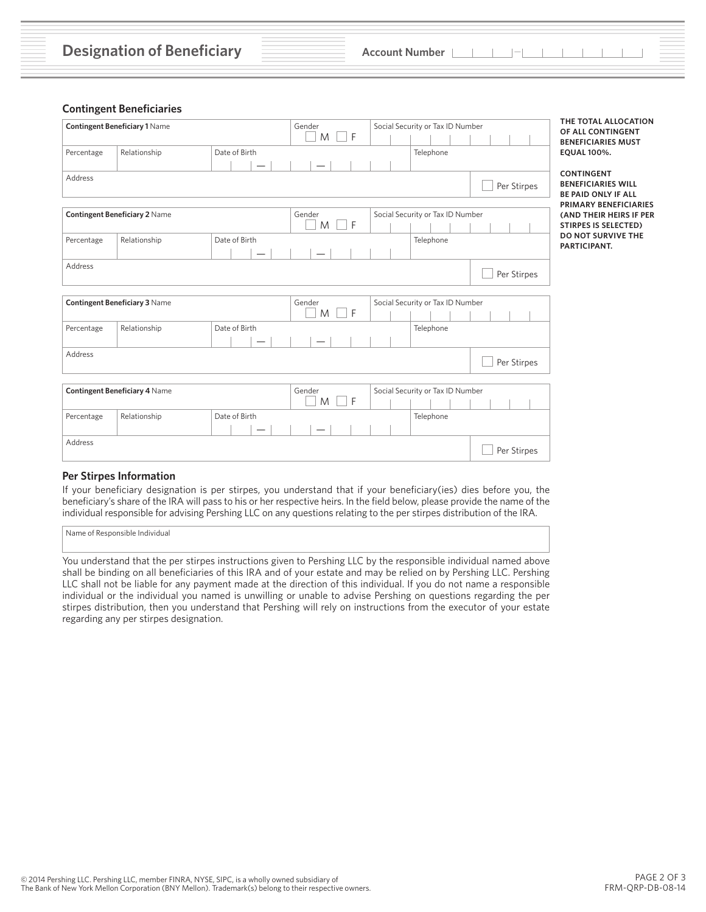### **Contingent Beneficiaries**

| <b>Contingent Beneficiary 1 Name</b> |                                      |               | Gender<br>$  \cdot  $ F<br>M | Social Security or Tax ID Number |                                  |             | THE TOTAL ALLOCATION<br>OF ALL CONTINGENT<br><b>BENEFICIARIES MUST</b>                                       |  |  |  |
|--------------------------------------|--------------------------------------|---------------|------------------------------|----------------------------------|----------------------------------|-------------|--------------------------------------------------------------------------------------------------------------|--|--|--|
| Percentage                           | Relationship                         | Date of Birth |                              |                                  | Telephone                        |             | <b>EQUAL 100%.</b>                                                                                           |  |  |  |
| Address                              |                                      |               |                              |                                  |                                  | Per Stirpes | <b>CONTINGENT</b><br><b>BENEFICIARIES WILL</b><br><b>BE PAID ONLY IF ALL</b><br><b>PRIMARY BENEFICIARIES</b> |  |  |  |
| <b>Contingent Beneficiary 2 Name</b> |                                      |               | Gender<br>$  \cdot  $ F<br>M |                                  | Social Security or Tax ID Number |             | (AND THEIR HEIRS IF PER<br><b>STIRPES IS SELECTED)</b><br>DO NOT SURVIVE THE                                 |  |  |  |
| Percentage                           | Relationship                         | Date of Birth |                              |                                  | Telephone                        |             | PARTICIPANT.                                                                                                 |  |  |  |
| Address                              |                                      |               |                              |                                  |                                  | Per Stirpes |                                                                                                              |  |  |  |
|                                      | <b>Contingent Beneficiary 3 Name</b> |               | Gender<br>F<br>M             |                                  | Social Security or Tax ID Number |             |                                                                                                              |  |  |  |
| Percentage                           | Relationship                         | Date of Birth |                              |                                  | Telephone                        |             |                                                                                                              |  |  |  |
| Address                              |                                      |               |                              |                                  |                                  | Per Stirpes |                                                                                                              |  |  |  |
|                                      | <b>Contingent Beneficiary 4 Name</b> |               | Gender<br>F<br>M             |                                  | Social Security or Tax ID Number |             |                                                                                                              |  |  |  |
| Percentage                           | Relationship                         | Date of Birth |                              |                                  | Telephone                        |             |                                                                                                              |  |  |  |
| Address                              |                                      |               |                              |                                  |                                  | Per Stirpes |                                                                                                              |  |  |  |

#### **Per Stirpes Information**

If your beneficiary designation is per stirpes, you understand that if your beneficiary(ies) dies before you, the beneficiary's share of the IRA will pass to his or her respective heirs. In the field below, please provide the name of the individual responsible for advising Pershing LLC on any questions relating to the per stirpes distribution of the IRA.

Name of Responsible Individual

You understand that the per stirpes instructions given to Pershing LLC by the responsible individual named above shall be binding on all beneficiaries of this IRA and of your estate and may be relied on by Pershing LLC. Pershing LLC shall not be liable for any payment made at the direction of this individual. If you do not name a responsible individual or the individual you named is unwilling or unable to advise Pershing on questions regarding the per stirpes distribution, then you understand that Pershing will rely on instructions from the executor of your estate regarding any per stirpes designation.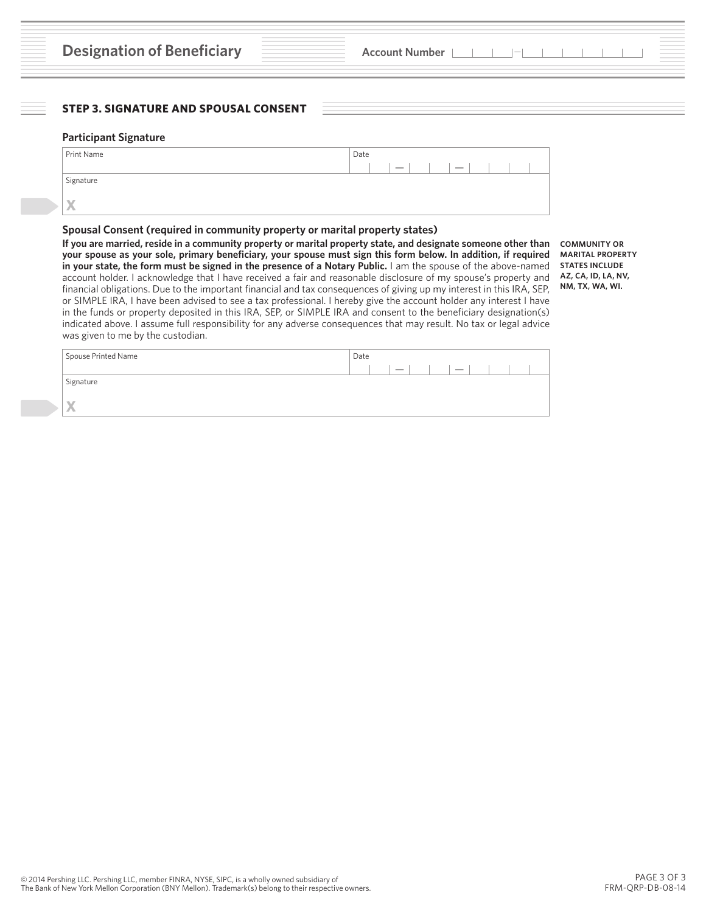# **STEP 3. SIGNATURE AND SPOUSAL CONSENT**

#### **Participant Signature**

| Print Name | Date |  |  |  |  |
|------------|------|--|--|--|--|
|            |      |  |  |  |  |
| Signature  |      |  |  |  |  |
|            |      |  |  |  |  |
| X          |      |  |  |  |  |

#### **Spousal Consent (required in community property or marital property states)**

**If you are married, reside in a community property or marital property state, and designate someone other than your spouse as your sole, primary beneficiary, your spouse must sign this form below. In addition, if required in your state, the form must be signed in the presence of a Notary Public.** I am the spouse of the above-named account holder. I acknowledge that I have received a fair and reasonable disclosure of my spouse's property and financial obligations. Due to the important financial and tax consequences of giving up my interest in this IRA, SEP, or SIMPLE IRA, I have been advised to see a tax professional. I hereby give the account holder any interest I have in the funds or property deposited in this IRA, SEP, or SIMPLE IRA and consent to the beneficiary designation(s) indicated above. I assume full responsibility for any adverse consequences that may result. No tax or legal advice was given to me by the custodian.

**COMMUNITY OR MARITAL PROPERTY STATES INCLUDE AZ, CA, ID, LA, NV, NM, TX, WA, WI.**

| Spouse Printed Name | Date |  |  |  |  |  |  |
|---------------------|------|--|--|--|--|--|--|
|                     |      |  |  |  |  |  |  |
| Signature           |      |  |  |  |  |  |  |
|                     |      |  |  |  |  |  |  |
| $\mathbf{X}$        |      |  |  |  |  |  |  |